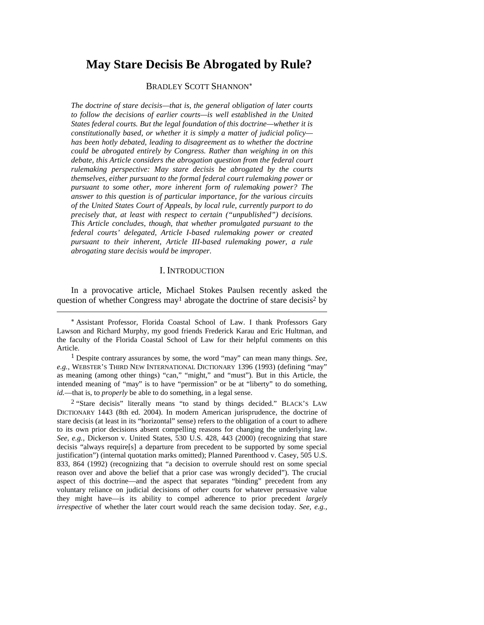# **May Stare Decisis Be Abrogated by Rule?**

### BRADLEY SCOTT SHANNON

*The doctrine of stare decisis—that is, the general obligation of later courts*  to follow the decisions of earlier courts—is well established in the United *States federal courts. But the legal foundation of this doctrine—whether it is constitutionally based, or whether it is simply a matter of judicial policy has been hotly debated, leading to disagreement as to whether the doctrine could be abrogated entirely by Congress. Rather than weighing in on this debate, this Article considers the abrogation question from the federal court rulemaking perspective: May stare decisis be abrogated by the courts themselves, either pursuant to the formal federal court rulemaking power or pursuant to some other, more inherent form of rulemaking power? The answer to this question is of particular importance, for the various circuits of the United States Court of Appeals, by local rule, currently purport to do precisely that, at least with respect to certain ("unpublished") decisions. This Article concludes, though, that whether promulgated pursuant to the federal courts' delegated, Article I-based rulemaking power or created pursuant to their inherent, Article III-based rulemaking power, a rule abrogating stare decisis would be improper.*

### I. INTRODUCTION

In a provocative article, Michael Stokes Paulsen recently asked the question of whether Congress may<sup>1</sup> abrogate the doctrine of stare decisis<sup>2</sup> by

 $\overline{a}$ 

1 Despite contrary assurances by some, the word "may" can mean many things. *See, e.g.*, WEBSTER'S THIRD NEW INTERNATIONAL DICTIONARY 1396 (1993) (defining "may" as meaning (among other things) "can," "might," and "must"). But in this Article, the intended meaning of "may" is to have "permission" or be at "liberty" to do something, *id.*—that is, to *properly* be able to do something, in a legal sense.

2 "Stare decisis" literally means "to stand by things decided." BLACK'S LAW DICTIONARY 1443 (8th ed. 2004). In modern American jurisprudence, the doctrine of stare decisis (at least in its "horizontal" sense) refers to the obligation of a court to adhere to its own prior decisions absent compelling reasons for changing the underlying law. *See, e.g.*, Dickerson v. United States, 530 U.S. 428, 443 (2000) (recognizing that stare decisis "always require[s] a departure from precedent to be supported by some special justification") (internal quotation marks omitted); Planned Parenthood v. Casey, 505 U.S. 833, 864 (1992) (recognizing that "a decision to overrule should rest on some special reason over and above the belief that a prior case was wrongly decided"). The crucial aspect of this doctrine—and the aspect that separates "binding" precedent from any voluntary reliance on judicial decisions of *other* courts for whatever persuasive value they might have—is its ability to compel adherence to prior precedent *largely irrespective* of whether the later court would reach the same decision today. *See, e.g.*,

Assistant Professor, Florida Coastal School of Law. I thank Professors Gary Lawson and Richard Murphy, my good friends Frederick Karau and Eric Hultman, and the faculty of the Florida Coastal School of Law for their helpful comments on this Article.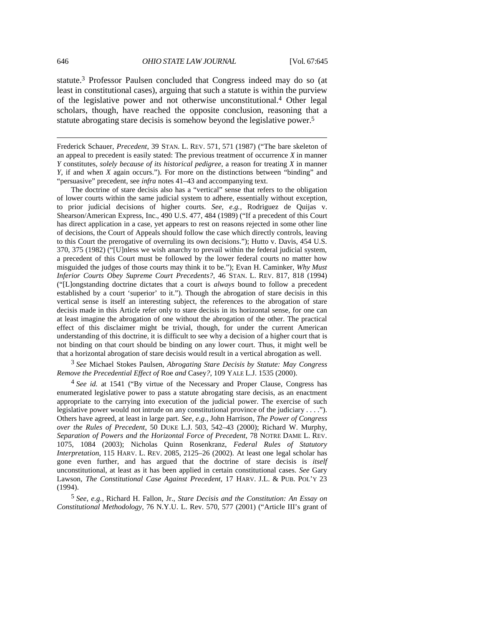$\overline{a}$ 

statute.3 Professor Paulsen concluded that Congress indeed may do so (at least in constitutional cases), arguing that such a statute is within the purview of the legislative power and not otherwise unconstitutional.4 Other legal scholars, though, have reached the opposite conclusion, reasoning that a statute abrogating stare decisis is somehow beyond the legislative power.5

Frederick Schauer, *Precedent*, 39 STAN. L. REV. 571, 571 (1987) ("The bare skeleton of an appeal to precedent is easily stated: The previous treatment of occurrence *X* in manner *Y* constitutes, *solely because of its historical pedigree*, a reason for treating *X* in manner *Y*, if and when *X* again occurs."). For more on the distinctions between "binding" and "persuasive" precedent, see *infra* notes 41–43 and accompanying text.

The doctrine of stare decisis also has a "vertical" sense that refers to the obligation of lower courts within the same judicial system to adhere, essentially without exception, to prior judicial decisions of higher courts. *See, e.g.*, Rodriguez de Quijas v. Shearson/American Express, Inc., 490 U.S. 477, 484 (1989) ("If a precedent of this Court has direct application in a case, yet appears to rest on reasons rejected in some other line of decisions, the Court of Appeals should follow the case which directly controls, leaving to this Court the prerogative of overruling its own decisions."); Hutto v. Davis, 454 U.S. 370, 375 (1982) ("[U]nless we wish anarchy to prevail within the federal judicial system, a precedent of this Court must be followed by the lower federal courts no matter how misguided the judges of those courts may think it to be."); Evan H. Caminker, *Why Must Inferior Courts Obey Supreme Court Precedents?*, 46 STAN. L. REV. 817, 818 (1994) ("[L]ongstanding doctrine dictates that a court is *always* bound to follow a precedent established by a court 'superior' to it."). Though the abrogation of stare decisis in this vertical sense is itself an interesting subject, the references to the abrogation of stare decisis made in this Article refer only to stare decisis in its horizontal sense, for one can at least imagine the abrogation of one without the abrogation of the other. The practical effect of this disclaimer might be trivial, though, for under the current American understanding of this doctrine, it is difficult to see why a decision of a higher court that is not binding on that court should be binding on any lower court. Thus, it might well be that a horizontal abrogation of stare decisis would result in a vertical abrogation as well.

3 *See* Michael Stokes Paulsen, *Abrogating Stare Decisis by Statute: May Congress Remove the Precedential Effect of* Roe *and* Casey*?*, 109 YALE L.J. 1535 (2000).

<sup>4</sup> *See id.* at 1541 ("By virtue of the Necessary and Proper Clause, Congress has enumerated legislative power to pass a statute abrogating stare decisis, as an enactment appropriate to the carrying into execution of the judicial power. The exercise of such legislative power would not intrude on any constitutional province of the judiciary . . . ."). Others have agreed, at least in large part. *See, e.g.*, John Harrison, *The Power of Congress over the Rules of Precedent*, 50 DUKE L.J. 503, 542–43 (2000); Richard W. Murphy, *Separation of Powers and the Horizontal Force of Precedent*, 78 NOTRE DAME L. REV. 1075, 1084 (2003); Nicholas Quinn Rosenkranz, *Federal Rules of Statutory Interpretation*, 115 HARV. L. REV. 2085, 2125–26 (2002). At least one legal scholar has gone even further, and has argued that the doctrine of stare decisis is *itself* unconstitutional, at least as it has been applied in certain constitutional cases. *See* Gary Lawson, *The Constitutional Case Against Precedent*, 17 HARV. J.L. & PUB. POL'Y 23 (1994).

5 *See, e.g.*, Richard H. Fallon, Jr., *Stare Decisis and the Constitution: An Essay on Constitutional Methodology*, 76 N.Y.U. L. Rev. 570, 577 (2001) ("Article III's grant of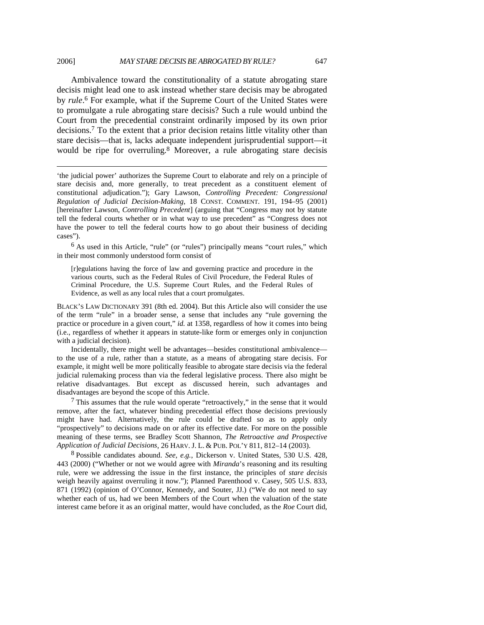#### 2006] *MAY STARE DECISIS BE ABROGATED BY RULE?* 647

 $\overline{a}$ 

Ambivalence toward the constitutionality of a statute abrogating stare decisis might lead one to ask instead whether stare decisis may be abrogated by *rule*. 6 For example, what if the Supreme Court of the United States were to promulgate a rule abrogating stare decisis? Such a rule would unbind the Court from the precedential constraint ordinarily imposed by its own prior decisions.7 To the extent that a prior decision retains little vitality other than stare decisis—that is, lacks adequate independent jurisprudential support—it would be ripe for overruling.<sup>8</sup> Moreover, a rule abrogating stare decisis

'the judicial power' authorizes the Supreme Court to elaborate and rely on a principle of stare decisis and, more generally, to treat precedent as a constituent element of constitutional adjudication."); Gary Lawson, *Controlling Precedent: Congressional Regulation of Judicial Decision-Making*, 18 CONST. COMMENT. 191, 194–95 (2001) [hereinafter Lawson, *Controlling Precedent*] (arguing that "Congress may not by statute tell the federal courts whether or in what way to use precedent" as "Congress does not have the power to tell the federal courts how to go about their business of deciding cases").

6 As used in this Article, "rule" (or "rules") principally means "court rules," which in their most commonly understood form consist of

[r]egulations having the force of law and governing practice and procedure in the various courts, such as the Federal Rules of Civil Procedure, the Federal Rules of Criminal Procedure, the U.S. Supreme Court Rules, and the Federal Rules of Evidence, as well as any local rules that a court promulgates.

BLACK'S LAW DICTIONARY 391 (8th ed. 2004). But this Article also will consider the use of the term "rule" in a broader sense, a sense that includes any "rule governing the practice or procedure in a given court," *id.* at 1358, regardless of how it comes into being (i.e., regardless of whether it appears in statute-like form or emerges only in conjunction with a judicial decision).

Incidentally, there might well be advantages—besides constitutional ambivalence to the use of a rule, rather than a statute, as a means of abrogating stare decisis. For example, it might well be more politically feasible to abrogate stare decisis via the federal judicial rulemaking process than via the federal legislative process. There also might be relative disadvantages. But except as discussed herein, such advantages and disadvantages are beyond the scope of this Article.

 $<sup>7</sup>$  This assumes that the rule would operate "retroactively," in the sense that it would</sup> remove, after the fact, whatever binding precedential effect those decisions previously might have had. Alternatively, the rule could be drafted so as to apply only "prospectively" to decisions made on or after its effective date. For more on the possible meaning of these terms, see Bradley Scott Shannon, *The Retroactive and Prospective Application of Judicial Decisions*, 26 HARV. J. L. & PUB. POL'Y 811, 812–14 (2003).

8 Possible candidates abound. *See, e.g.*, Dickerson v. United States, 530 U.S. 428, 443 (2000) ("Whether or not we would agree with *Miranda*'s reasoning and its resulting rule, were we addressing the issue in the first instance, the principles of *stare decisis* weigh heavily against overruling it now."); Planned Parenthood v. Casey, 505 U.S. 833, 871 (1992) (opinion of O'Connor, Kennedy, and Souter, JJ.) ("We do not need to say whether each of us, had we been Members of the Court when the valuation of the state interest came before it as an original matter, would have concluded, as the *Roe* Court did,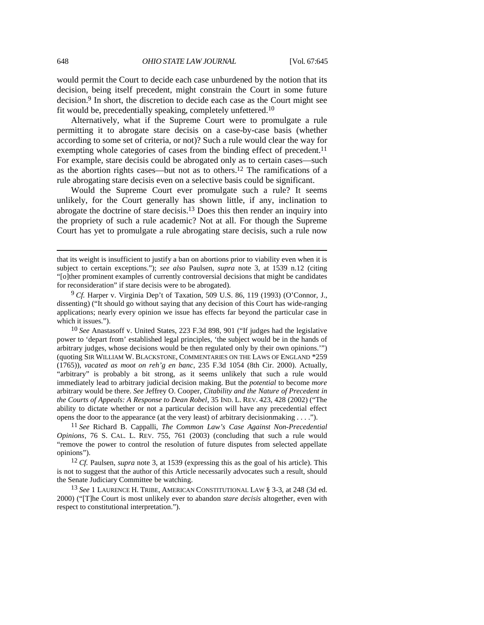would permit the Court to decide each case unburdened by the notion that its decision, being itself precedent, might constrain the Court in some future decision.9 In short, the discretion to decide each case as the Court might see fit would be, precedentially speaking, completely unfettered.10

Alternatively, what if the Supreme Court were to promulgate a rule permitting it to abrogate stare decisis on a case-by-case basis (whether according to some set of criteria, or not)? Such a rule would clear the way for exempting whole categories of cases from the binding effect of precedent.<sup>11</sup> For example, stare decisis could be abrogated only as to certain cases—such as the abortion rights cases—but not as to others.<sup>12</sup> The ramifications of a rule abrogating stare decisis even on a selective basis could be significant.

Would the Supreme Court ever promulgate such a rule? It seems unlikely, for the Court generally has shown little, if any, inclination to abrogate the doctrine of stare decisis.13 Does this then render an inquiry into the propriety of such a rule academic? Not at all. For though the Supreme Court has yet to promulgate a rule abrogating stare decisis, such a rule now

11 *See* Richard B. Cappalli, *The Common Law's Case Against Non-Precedential Opinions*, 76 S. CAL. L. REV. 755, 761 (2003) (concluding that such a rule would "remove the power to control the resolution of future disputes from selected appellate opinions").

12 *Cf.* Paulsen, *supra* note 3, at 1539 (expressing this as the goal of his article). This is not to suggest that the author of this Article necessarily advocates such a result, should the Senate Judiciary Committee be watching.

13 *See* 1 LAURENCE H. TRIBE, AMERICAN CONSTITUTIONAL LAW § 3-3, at 248 (3d ed. 2000) ("[T]he Court is most unlikely ever to abandon *stare decisis* altogether, even with respect to constitutional interpretation.").

that its weight is insufficient to justify a ban on abortions prior to viability even when it is subject to certain exceptions."); *see also* Paulsen, *supra* note 3, at 1539 n.12 (citing "[o]ther prominent examples of currently controversial decisions that might be candidates for reconsideration" if stare decisis were to be abrogated).

<sup>9</sup> *Cf.* Harper v. Virginia Dep't of Taxation, 509 U.S. 86, 119 (1993) (O'Connor, J., dissenting) ("It should go without saying that any decision of this Court has wide-ranging applications; nearly every opinion we issue has effects far beyond the particular case in which it issues.").

<sup>10</sup> *See* Anastasoff v. United States, 223 F.3d 898, 901 ("If judges had the legislative power to 'depart from' established legal principles, 'the subject would be in the hands of arbitrary judges, whose decisions would be then regulated only by their own opinions.'") (quoting SIR WILLIAM W. BLACKSTONE, COMMENTARIES ON THE LAWS OF ENGLAND \*259 (1765)), *vacated as moot on reh'g en banc*, 235 F.3d 1054 (8th Cir. 2000). Actually, "arbitrary" is probably a bit strong, as it seems unlikely that such a rule would immediately lead to arbitrary judicial decision making. But the *potential* to become *more* arbitrary would be there. *See* Jeffrey O. Cooper, *Citability and the Nature of Precedent in the Courts of Appeals: A Response to Dean Robel*, 35 IND. L. REV. 423, 428 (2002) ("The ability to dictate whether or not a particular decision will have any precedential effect opens the door to the appearance (at the very least) of arbitrary decisionmaking . . . .").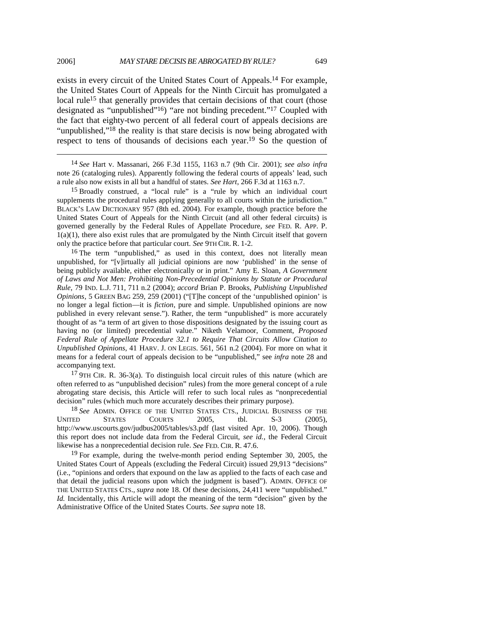exists in every circuit of the United States Court of Appeals.14 For example, the United States Court of Appeals for the Ninth Circuit has promulgated a local rule<sup>15</sup> that generally provides that certain decisions of that court (those designated as "unpublished"16) "are not binding precedent."17 Coupled with the fact that eighty-two percent of all federal court of appeals decisions are "unpublished,"<sup>18</sup> the reality is that stare decisis is now being abrogated with respect to tens of thousands of decisions each year.19 So the question of

 14 *See* Hart v. Massanari, 266 F.3d 1155, 1163 n.7 (9th Cir. 2001); *see also infra* note 26 (cataloging rules). Apparently following the federal courts of appeals' lead, such a rule also now exists in all but a handful of states. *See Hart*, 266 F.3d at 1163 n.7.

15 Broadly construed, a "local rule" is a "rule by which an individual court supplements the procedural rules applying generally to all courts within the jurisdiction." BLACK'S LAW DICTIONARY 957 (8th ed. 2004). For example, though practice before the United States Court of Appeals for the Ninth Circuit (and all other federal circuits) is governed generally by the Federal Rules of Appellate Procedure, *see* FED. R. APP. P.  $1(a)(1)$ , there also exist rules that are promulgated by the Ninth Circuit itself that govern only the practice before that particular court. *See* 9TH CIR. R. 1-2.

<sup>16</sup> The term "unpublished," as used in this context, does not literally mean unpublished, for "[v]irtually all judicial opinions are now 'published' in the sense of being publicly available, either electronically or in print." Amy E. Sloan, *A Government of Laws and Not Men: Prohibiting Non-Precedential Opinions by Statute or Procedural Rule*, 79 IND. L.J. 711, 711 n.2 (2004); *accord* Brian P. Brooks, *Publishing Unpublished Opinions*, 5 GREEN BAG 259, 259 (2001) ("[T]he concept of the 'unpublished opinion' is no longer a legal fiction—it is *fiction*, pure and simple. Unpublished opinions are now published in every relevant sense."). Rather, the term "unpublished" is more accurately thought of as "a term of art given to those dispositions designated by the issuing court as having no (or limited) precedential value." Niketh Velamoor, Comment, *Proposed Federal Rule of Appellate Procedure 32.1 to Require That Circuits Allow Citation to Unpublished Opinions*, 41 HARV. J. ON LEGIS. 561, 561 n.2 (2004). For more on what it means for a federal court of appeals decision to be "unpublished," see *infra* note 28 and accompanying text.

 $179$ TH CIR. R. 36-3(a). To distinguish local circuit rules of this nature (which are often referred to as "unpublished decision" rules) from the more general concept of a rule abrogating stare decisis, this Article will refer to such local rules as "nonprecedential decision" rules (which much more accurately describes their primary purpose).

<sup>18</sup> *See* ADMIN. OFFICE OF THE UNITED STATES CTS., JUDICIAL BUSINESS OF THE CED<br>TED STATES COURTS 2005. tbl. S-3 (2005). UNITED STATES COURTS 2005, tbl. S-3 (2005), http://www.uscourts.gov/judbus2005/tables/s3.pdf (last visited Apr. 10, 2006). Though this report does not include data from the Federal Circuit, *see id.*, the Federal Circuit likewise has a nonprecedential decision rule. *See* FED. CIR. R. 47.6.

<sup>19</sup> For example, during the twelve-month period ending September 30, 2005, the United States Court of Appeals (excluding the Federal Circuit) issued 29,913 "decisions" (i.e., "opinions and orders that expound on the law as applied to the facts of each case and that detail the judicial reasons upon which the judgment is based"). ADMIN. OFFICE OF THE UNITED STATES CTS.*, supra* note 18. Of these decisions, 24,411 were "unpublished." *Id.* Incidentally, this Article will adopt the meaning of the term "decision" given by the Administrative Office of the United States Courts. *See supra* note 18.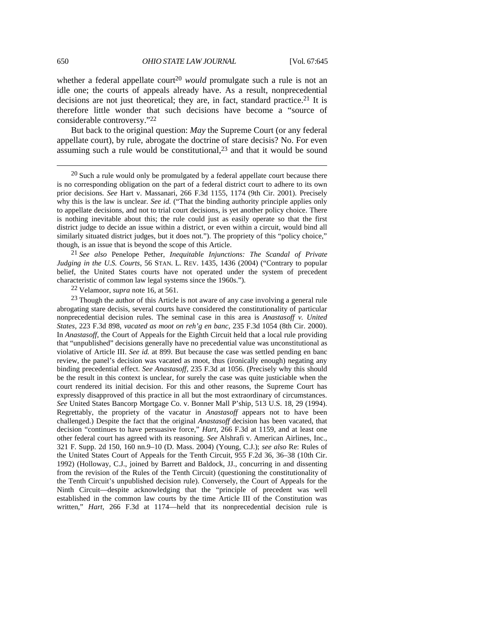whether a federal appellate court<sup>20</sup> *would* promulgate such a rule is not an idle one; the courts of appeals already have. As a result, nonprecedential decisions are not just theoretical; they are, in fact, standard practice.<sup>21</sup> It is therefore little wonder that such decisions have become a "source of considerable controversy."22

But back to the original question: *May* the Supreme Court (or any federal appellate court), by rule, abrogate the doctrine of stare decisis? No. For even assuming such a rule would be constitutional, $2<sup>3</sup>$  and that it would be sound

21 *See also* Penelope Pether, *Inequitable Injunctions: The Scandal of Private Judging in the U.S. Courts*, 56 STAN. L. REV. 1435, 1436 (2004) ("Contrary to popular belief, the United States courts have not operated under the system of precedent characteristic of common law legal systems since the 1960s.").

22 Velamoor, *supra* note 16, at 561.

 $23$  Though the author of this Article is not aware of any case involving a general rule abrogating stare decisis, several courts have considered the constitutionality of particular nonprecedential decision rules. The seminal case in this area is *Anastasoff v. United States*, 223 F.3d 898, *vacated as moot on reh'g en banc*, 235 F.3d 1054 (8th Cir. 2000). In *Anastasoff*, the Court of Appeals for the Eighth Circuit held that a local rule providing that "unpublished" decisions generally have no precedential value was unconstitutional as violative of Article III. *See id.* at 899. But because the case was settled pending en banc review, the panel's decision was vacated as moot, thus (ironically enough) negating any binding precedential effect. *See Anastasoff*, 235 F.3d at 1056. (Precisely why this should be the result in this context is unclear, for surely the case was quite justiciable when the court rendered its initial decision. For this and other reasons, the Supreme Court has expressly disapproved of this practice in all but the most extraordinary of circumstances. *See* United States Bancorp Mortgage Co. v. Bonner Mall P'ship, 513 U.S. 18, 29 (1994). Regrettably, the propriety of the vacatur in *Anastasoff* appears not to have been challenged.) Despite the fact that the original *Anastasoff* decision has been vacated, that decision "continues to have persuasive force," *Hart*, 266 F.3d at 1159, and at least one other federal court has agreed with its reasoning. *See* Alshrafi v. American Airlines, Inc., 321 F. Supp. 2d 150, 160 nn.9–10 (D. Mass. 2004) (Young, C.J.); *see also* Re: Rules of the United States Court of Appeals for the Tenth Circuit, 955 F.2d 36, 36–38 (10th Cir. 1992) (Holloway, C.J., joined by Barrett and Baldock, JJ., concurring in and dissenting from the revision of the Rules of the Tenth Circuit) (questioning the constitutionality of the Tenth Circuit's unpublished decision rule). Conversely, the Court of Appeals for the Ninth Circuit—despite acknowledging that the "principle of precedent was well established in the common law courts by the time Article III of the Constitution was written," *Hart*, 266 F.3d at 1174—held that its nonprecedential decision rule is

 $20$  Such a rule would only be promulgated by a federal appellate court because there is no corresponding obligation on the part of a federal district court to adhere to its own prior decisions. *See* Hart v. Massanari, 266 F.3d 1155, 1174 (9th Cir. 2001). Precisely why this is the law is unclear. *See id.* ("That the binding authority principle applies only to appellate decisions, and not to trial court decisions, is yet another policy choice. There is nothing inevitable about this; the rule could just as easily operate so that the first district judge to decide an issue within a district, or even within a circuit, would bind all similarly situated district judges, but it does not."). The propriety of this "policy choice," though, is an issue that is beyond the scope of this Article.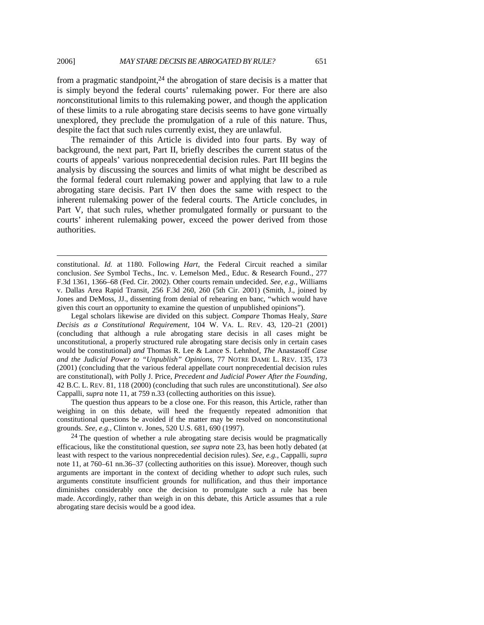from a pragmatic standpoint, $24$  the abrogation of stare decisis is a matter that is simply beyond the federal courts' rulemaking power. For there are also *non*constitutional limits to this rulemaking power, and though the application of these limits to a rule abrogating stare decisis seems to have gone virtually unexplored, they preclude the promulgation of a rule of this nature. Thus, despite the fact that such rules currently exist, they are unlawful.

The remainder of this Article is divided into four parts. By way of background, the next part, Part II, briefly describes the current status of the courts of appeals' various nonprecedential decision rules. Part III begins the analysis by discussing the sources and limits of what might be described as the formal federal court rulemaking power and applying that law to a rule abrogating stare decisis. Part IV then does the same with respect to the inherent rulemaking power of the federal courts. The Article concludes, in Part V, that such rules, whether promulgated formally or pursuant to the courts' inherent rulemaking power, exceed the power derived from those authorities.

constitutional. *Id.* at 1180. Following *Hart*, the Federal Circuit reached a similar conclusion. *See* Symbol Techs., Inc. v. Lemelson Med., Educ. & Research Found., 277 F.3d 1361, 1366–68 (Fed. Cir. 2002). Other courts remain undecided. *See, e.g.*, Williams v. Dallas Area Rapid Transit, 256 F.3d 260, 260 (5th Cir. 2001) (Smith, J., joined by Jones and DeMoss, JJ., dissenting from denial of rehearing en banc, "which would have given this court an opportunity to examine the question of unpublished opinions").

 $\overline{a}$ 

Legal scholars likewise are divided on this subject. *Compare* Thomas Healy, *Stare Decisis as a Constitutional Requirement*, 104 W. VA. L. REV. 43, 120–21 (2001) (concluding that although a rule abrogating stare decisis in all cases might be unconstitutional, a properly structured rule abrogating stare decisis only in certain cases would be constitutional) *and* Thomas R. Lee & Lance S. Lehnhof, *The* Anastasoff *Case and the Judicial Power to "Unpublish" Opinions*, 77 NOTRE DAME L. REV. 135, 173 (2001) (concluding that the various federal appellate court nonprecedential decision rules are constitutional), *with* Polly J. Price, *Precedent and Judicial Power After the Founding*, 42 B.C. L. REV. 81, 118 (2000) (concluding that such rules are unconstitutional). *See also*  Cappalli, *supra* note 11, at 759 n.33 (collecting authorities on this issue).

The question thus appears to be a close one. For this reason, this Article, rather than weighing in on this debate, will heed the frequently repeated admonition that constitutional questions be avoided if the matter may be resolved on nonconstitutional grounds. *See, e.g.*, Clinton v. Jones, 520 U.S. 681, 690 (1997).

 $24$  The question of whether a rule abrogating stare decisis would be pragmatically efficacious, like the constitutional question, *see supra* note 23, has been hotly debated (at least with respect to the various nonprecedential decision rules). *See, e.g.*, Cappalli, *supra* note 11, at 760–61 nn.36–37 (collecting authorities on this issue). Moreover, though such arguments are important in the context of deciding whether to *adopt* such rules, such arguments constitute insufficient grounds for nullification, and thus their importance diminishes considerably once the decision to promulgate such a rule has been made. Accordingly, rather than weigh in on this debate, this Article assumes that a rule abrogating stare decisis would be a good idea.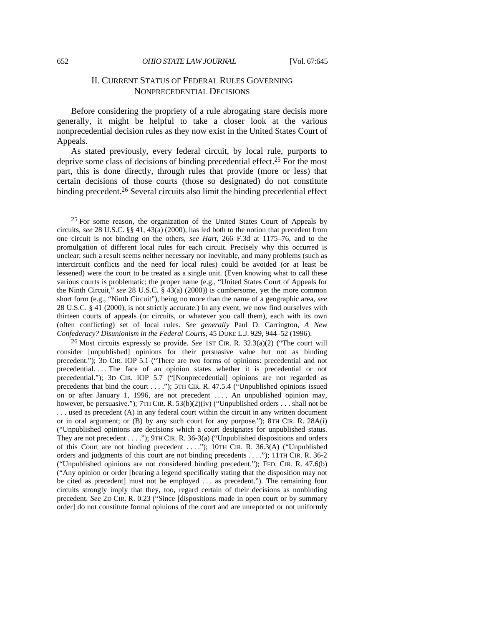## II. CURRENT STATUS OF FEDERAL RULES GOVERNING NONPRECEDENTIAL DECISIONS

Before considering the propriety of a rule abrogating stare decisis more generally, it might be helpful to take a closer look at the various nonprecedential decision rules as they now exist in the United States Court of Appeals.

As stated previously, every federal circuit, by local rule, purports to deprive some class of decisions of binding precedential effect.25 For the most part, this is done directly, through rules that provide (more or less) that certain decisions of those courts (those so designated) do not constitute binding precedent.<sup>26</sup> Several circuits also limit the binding precedential effect

26 Most circuits expressly so provide. *See* 1ST CIR. R. 32.3(a)(2) ("The court will consider [unpublished] opinions for their persuasive value but not as binding precedent."); 3D CIR. IOP 5.1 ("There are two forms of opinions: precedential and not precedential. . . . The face of an opinion states whether it is precedential or not precedential."); 3D CIR. IOP 5.7 ("[Nonprecedential] opinions are not regarded as precedents that bind the court  $\dots$ "); 5TH CIR. R. 47.5.4 ("Unpublished opinions issued on or after January 1, 1996, are not precedent . . . . An unpublished opinion may, however, be persuasive."); 7TH CIR. R. 53(b)(2)(iv) ("Unpublished orders . . . shall not be . . . used as precedent (A) in any federal court within the circuit in any written document or in oral argument; or (B) by any such court for any purpose."); 8TH CIR. R. 28A(i) ("Unpublished opinions are decisions which a court designates for unpublished status. They are not precedent . . . ."); 9TH CIR. R. 36-3(a) ("Unpublished dispositions and orders of this Court are not binding precedent . . . ."); 10TH CIR. R. 36.3(A) ("Unpublished orders and judgments of this court are not binding precedents . . . ."); 11TH CIR. R. 36-2 ("Unpublished opinions are not considered binding precedent."); FED. CIR. R. 47.6(b) ("Any opinion or order [bearing a legend specifically stating that the disposition may not be cited as precedent] must not be employed . . . as precedent."). The remaining four circuits strongly imply that they, too, regard certain of their decisions as nonbinding precedent. *See* 2D CIR. R. 0.23 ("Since [dispositions made in open court or by summary order] do not constitute formal opinions of the court and are unreported or not uniformly

 $25$  For some reason, the organization of the United States Court of Appeals by circuits, *see* 28 U.S.C. §§ 41, 43(a) (2000), has led both to the notion that precedent from one circuit is not binding on the others, *see Hart*, 266 F.3d at 1175–76, and to the promulgation of different local rules for each circuit. Precisely why this occurred is unclear; such a result seems neither necessary nor inevitable, and many problems (such as intercircuit conflicts and the need for local rules) could be avoided (or at least be lessened) were the court to be treated as a single unit. (Even knowing what to call these various courts is problematic; the proper name (e.g., "United States Court of Appeals for the Ninth Circuit," *see* 28 U.S.C. § 43(a) (2000)) is cumbersome, yet the more common short form (e.g., "Ninth Circuit"), being no more than the name of a geographic area, *see*  28 U.S.C. § 41 (2000), is not strictly accurate.) In any event, we now find ourselves with thirteen courts of appeals (or circuits, or whatever you call them), each with its own (often conflicting) set of local rules. *See generally* Paul D. Carrington, *A New Confederacy? Disunionism in the Federal Courts*, 45 DUKE L.J. 929, 944–52 (1996).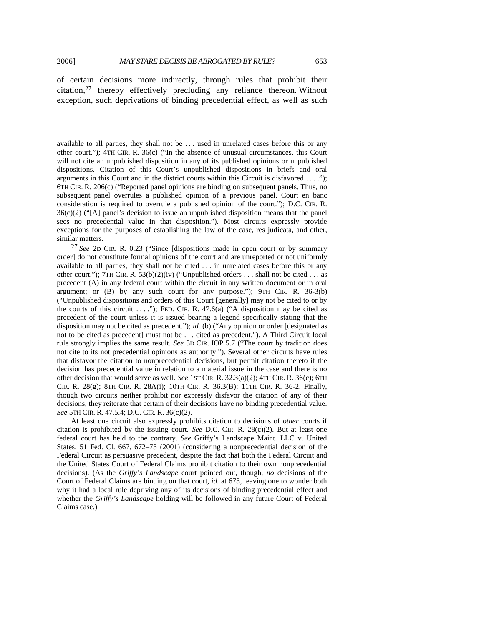$\overline{a}$ 

of certain decisions more indirectly, through rules that prohibit their citation,27 thereby effectively precluding any reliance thereon. Without exception, such deprivations of binding precedential effect, as well as such

27 *See* 2D CIR. R. 0.23 ("Since [dispositions made in open court or by summary order] do not constitute formal opinions of the court and are unreported or not uniformly available to all parties, they shall not be cited . . . in unrelated cases before this or any other court.");  $7\text{TH CIR}$ . R.  $53(b)(2)(iv)$  ("Unpublished orders . . . shall not be cited . . . as precedent (A) in any federal court within the circuit in any written document or in oral argument; or  $(B)$  by any such court for any purpose."); 9TH CIR. R. 36-3(b) ("Unpublished dispositions and orders of this Court [generally] may not be cited to or by the courts of this circuit  $\dots$ "); FED. CIR. R. 47.6(a) ("A disposition may be cited as precedent of the court unless it is issued bearing a legend specifically stating that the disposition may not be cited as precedent."); *id.* (b) ("Any opinion or order [designated as not to be cited as precedent] must not be . . . cited as precedent."). A Third Circuit local rule strongly implies the same result. *See* 3D CIR. IOP 5.7 ("The court by tradition does not cite to its not precedential opinions as authority."). Several other circuits have rules that disfavor the citation to nonprecedential decisions, but permit citation thereto if the decision has precedential value in relation to a material issue in the case and there is no other decision that would serve as well. *See* 1ST CIR. R. 32.3(a)(2); 4TH CIR. R. 36(c); 6TH CIR. R. 28(g); 8TH CIR. R. 28A(i); 10TH CIR. R. 36.3(B); 11TH CIR. R. 36-2. Finally, though two circuits neither prohibit nor expressly disfavor the citation of any of their decisions, they reiterate that certain of their decisions have no binding precedential value. *See* 5TH CIR. R. 47.5.4; D.C. CIR. R. 36(c)(2).

At least one circuit also expressly prohibits citation to decisions of *other* courts if citation is prohibited by the issuing court. *See* D.C. CIR. R. 28(c)(2). But at least one federal court has held to the contrary. *See* Griffy's Landscape Maint. LLC v. United States, 51 Fed. Cl. 667, 672–73 (2001) (considering a nonprecedential decision of the Federal Circuit as persuasive precedent, despite the fact that both the Federal Circuit and the United States Court of Federal Claims prohibit citation to their own nonprecedential decisions). (As the *Griffy's Landscape* court pointed out, though, *no* decisions of the Court of Federal Claims are binding on that court, *id.* at 673, leaving one to wonder both why it had a local rule depriving any of its decisions of binding precedential effect and whether the *Griffy's Landscape* holding will be followed in any future Court of Federal Claims case.)

available to all parties, they shall not be . . . used in unrelated cases before this or any other court."); 4TH CIR. R. 36(c) ("In the absence of unusual circumstances, this Court will not cite an unpublished disposition in any of its published opinions or unpublished dispositions. Citation of this Court's unpublished dispositions in briefs and oral arguments in this Court and in the district courts within this Circuit is disfavored . . . ."); 6TH CIR. R. 206(c) ("Reported panel opinions are binding on subsequent panels. Thus, no subsequent panel overrules a published opinion of a previous panel. Court en banc consideration is required to overrule a published opinion of the court."); D.C. CIR. R.  $36(c)(2)$  ("[A] panel's decision to issue an unpublished disposition means that the panel sees no precedential value in that disposition."). Most circuits expressly provide exceptions for the purposes of establishing the law of the case, res judicata, and other, similar matters.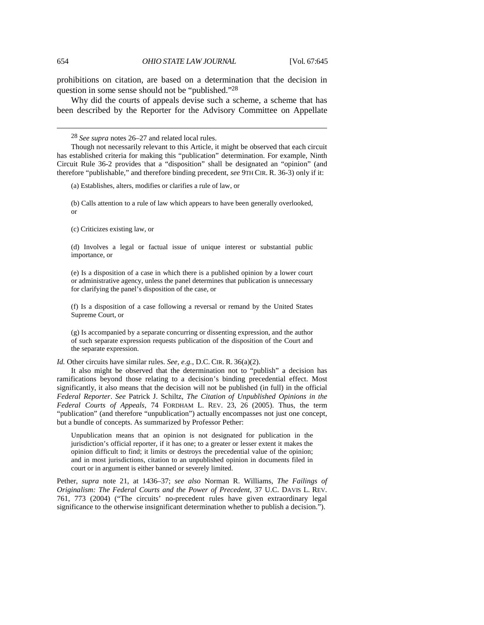prohibitions on citation, are based on a determination that the decision in question in some sense should not be "published."28

Why did the courts of appeals devise such a scheme, a scheme that has been described by the Reporter for the Advisory Committee on Appellate

28 *See supra* notes 26–27 and related local rules.

Though not necessarily relevant to this Article, it might be observed that each circuit has established criteria for making this "publication" determination. For example, Ninth Circuit Rule 36-2 provides that a "disposition" shall be designated an "opinion" (and therefore "publishable," and therefore binding precedent, *see* 9TH CIR. R. 36-3) only if it:

(a) Establishes, alters, modifies or clarifies a rule of law, or

(b) Calls attention to a rule of law which appears to have been generally overlooked, or

(c) Criticizes existing law, or

(d) Involves a legal or factual issue of unique interest or substantial public importance, or

(e) Is a disposition of a case in which there is a published opinion by a lower court or administrative agency, unless the panel determines that publication is unnecessary for clarifying the panel's disposition of the case, or

(f) Is a disposition of a case following a reversal or remand by the United States Supreme Court, or

(g) Is accompanied by a separate concurring or dissenting expression, and the author of such separate expression requests publication of the disposition of the Court and the separate expression.

*Id.* Other circuits have similar rules. *See, e.g.*, D.C. CIR. R. 36(a)(2).

It also might be observed that the determination not to "publish" a decision has ramifications beyond those relating to a decision's binding precedential effect. Most significantly, it also means that the decision will not be published (in full) in the official *Federal Reporter*. *See* Patrick J. Schiltz, *The Citation of Unpublished Opinions in the Federal Courts of Appeals*, 74 FORDHAM L. REV. 23, 26 (2005). Thus, the term "publication" (and therefore "unpublication") actually encompasses not just one concept, but a bundle of concepts. As summarized by Professor Pether:

Unpublication means that an opinion is not designated for publication in the jurisdiction's official reporter, if it has one; to a greater or lesser extent it makes the opinion difficult to find; it limits or destroys the precedential value of the opinion; and in most jurisdictions, citation to an unpublished opinion in documents filed in court or in argument is either banned or severely limited.

Pether, *supra* note 21, at 1436–37; *see also* Norman R. Williams, *The Failings of Originalism: The Federal Courts and the Power of Precedent*, 37 U.C. DAVIS L. REV. 761, 773 (2004) ("The circuits' no-precedent rules have given extraordinary legal significance to the otherwise insignificant determination whether to publish a decision.").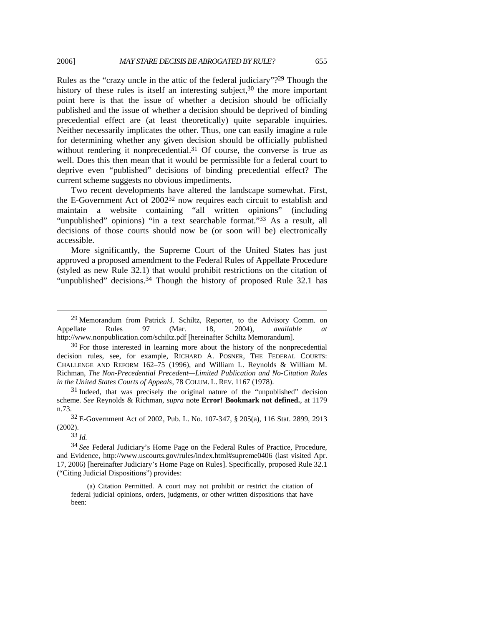Rules as the "crazy uncle in the attic of the federal judiciary"?29 Though the history of these rules is itself an interesting subject,  $30$  the more important point here is that the issue of whether a decision should be officially published and the issue of whether a decision should be deprived of binding precedential effect are (at least theoretically) quite separable inquiries. Neither necessarily implicates the other. Thus, one can easily imagine a rule for determining whether any given decision should be officially published without rendering it nonprecedential.<sup>31</sup> Of course, the converse is true as well. Does this then mean that it would be permissible for a federal court to deprive even "published" decisions of binding precedential effect? The current scheme suggests no obvious impediments.

Two recent developments have altered the landscape somewhat. First, the E-Government Act of 200232 now requires each circuit to establish and maintain a website containing "all written opinions" (including "unpublished" opinions) "in a text searchable format."33 As a result, all decisions of those courts should now be (or soon will be) electronically accessible.

More significantly, the Supreme Court of the United States has just approved a proposed amendment to the Federal Rules of Appellate Procedure (styled as new Rule 32.1) that would prohibit restrictions on the citation of "unpublished" decisions.34 Though the history of proposed Rule 32.1 has

 $31$  Indeed, that was precisely the original nature of the "unpublished" decision scheme. *See* Reynolds & Richman, *supra* note **Error! Bookmark not defined.**, at 1179 n.73.

32 E-Government Act of 2002, Pub. L. No. 107-347, § 205(a), 116 Stat. 2899, 2913 (2002).

33 *Id.*

 <sup>29</sup> Memorandum from Patrick J. Schiltz, Reporter, to the Advisory Comm. on Appellate Rules 97 (Mar. 18, 2004), *available at*  http://www.nonpublication.com/schiltz.pdf [hereinafter Schiltz Memorandum].

 $30$  For those interested in learning more about the history of the nonprecedential decision rules, see, for example, RICHARD A. POSNER, THE FEDERAL COURTS: CHALLENGE AND REFORM 162–75 (1996), and William L. Reynolds & William M. Richman, *The Non-Precedential Precedent—Limited Publication and No-Citation Rules in the United States Courts of Appeals*, 78 COLUM. L. REV. 1167 (1978).

<sup>34</sup> *See* Federal Judiciary's Home Page on the Federal Rules of Practice, Procedure, and Evidence, http://www.uscourts.gov/rules/index.html#supreme0406 (last visited Apr. 17, 2006) [hereinafter Judiciary's Home Page on Rules]. Specifically, proposed Rule 32.1 ("Citing Judicial Dispositions") provides:

<sup>(</sup>a) Citation Permitted. A court may not prohibit or restrict the citation of federal judicial opinions, orders, judgments, or other written dispositions that have been: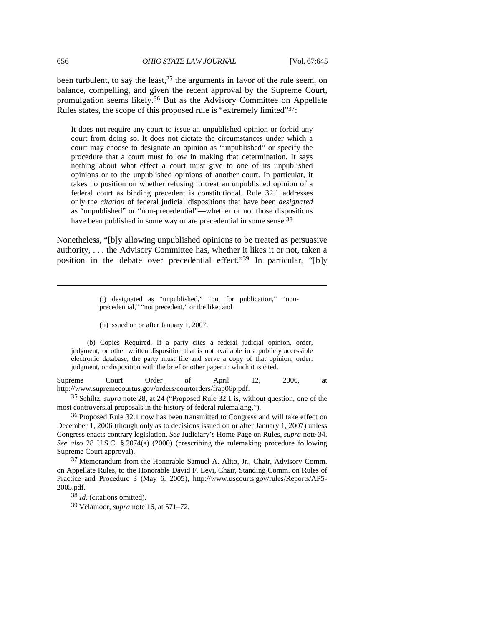been turbulent, to say the least,  $35$  the arguments in favor of the rule seem, on balance, compelling, and given the recent approval by the Supreme Court, promulgation seems likely.36 But as the Advisory Committee on Appellate Rules states, the scope of this proposed rule is "extremely limited"<sup>37</sup>:

It does not require any court to issue an unpublished opinion or forbid any court from doing so. It does not dictate the circumstances under which a court may choose to designate an opinion as "unpublished" or specify the procedure that a court must follow in making that determination. It says nothing about what effect a court must give to one of its unpublished opinions or to the unpublished opinions of another court. In particular, it takes no position on whether refusing to treat an unpublished opinion of a federal court as binding precedent is constitutional. Rule 32.1 addresses only the *citation* of federal judicial dispositions that have been *designated* as "unpublished" or "non-precedential"—whether or not those dispositions have been published in some way or are precedential in some sense.<sup>38</sup>

Nonetheless, "[b]y allowing unpublished opinions to be treated as persuasive authority, . . . the Advisory Committee has, whether it likes it or not, taken a position in the debate over precedential effect."39 In particular, "[b]y

> (i) designated as "unpublished," "not for publication," "nonprecedential," "not precedent," or the like; and

(ii) issued on or after January 1, 2007.

 (b) Copies Required. If a party cites a federal judicial opinion, order, judgment, or other written disposition that is not available in a publicly accessible electronic database, the party must file and serve a copy of that opinion, order, judgment, or disposition with the brief or other paper in which it is cited.

Supreme Court Order of April 12, 2006, at http://www.supremecourtus.gov/orders/courtorders/frap06p.pdf.

35 Schiltz, *supra* note 28, at 24 ("Proposed Rule 32.1 is, without question, one of the most controversial proposals in the history of federal rulemaking.").

36 Proposed Rule 32.1 now has been transmitted to Congress and will take effect on December 1, 2006 (though only as to decisions issued on or after January 1, 2007) unless Congress enacts contrary legislation. *See* Judiciary's Home Page on Rules, *supra* note 34. *See also* 28 U.S.C. § 2074(a) (2000) (prescribing the rulemaking procedure following Supreme Court approval).

37 Memorandum from the Honorable Samuel A. Alito, Jr., Chair, Advisory Comm. on Appellate Rules, to the Honorable David F. Levi, Chair, Standing Comm. on Rules of Practice and Procedure 3 (May 6, 2005), http://www.uscourts.gov/rules/Reports/AP5- 2005.pdf.

38 *Id.* (citations omitted).

39 Velamoor, *supra* note 16, at 571–72.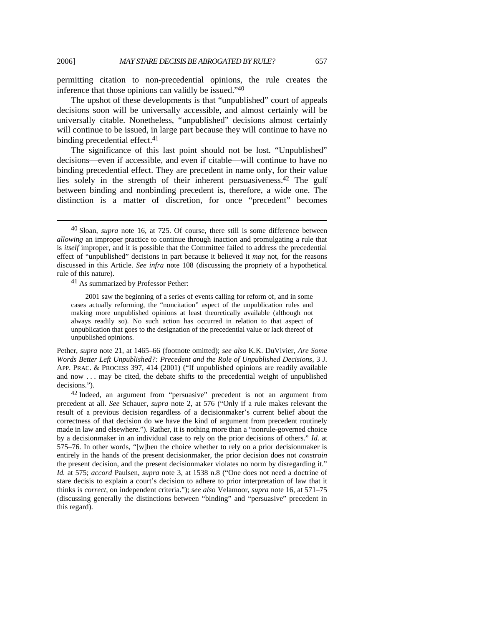permitting citation to non-precedential opinions, the rule creates the inference that those opinions can validly be issued."40

The upshot of these developments is that "unpublished" court of appeals decisions soon will be universally accessible, and almost certainly will be universally citable. Nonetheless, "unpublished" decisions almost certainly will continue to be issued, in large part because they will continue to have no binding precedential effect.<sup>41</sup>

The significance of this last point should not be lost. "Unpublished" decisions—even if accessible, and even if citable—will continue to have no binding precedential effect. They are precedent in name only, for their value lies solely in the strength of their inherent persuasiveness.42 The gulf between binding and nonbinding precedent is, therefore, a wide one. The distinction is a matter of discretion, for once "precedent" becomes

41 As summarized by Professor Pether:

2001 saw the beginning of a series of events calling for reform of, and in some cases actually reforming, the "noncitation" aspect of the unpublication rules and making more unpublished opinions at least theoretically available (although not always readily so). No such action has occurred in relation to that aspect of unpublication that goes to the designation of the precedential value or lack thereof of unpublished opinions.

Pether, *supra* note 21, at 1465–66 (footnote omitted); *see also* K.K. DuVivier, *Are Some Words Better Left Unpublished?: Precedent and the Role of Unpublished Decisions*, 3 J. APP. PRAC. & PROCESS 397, 414 (2001) ("If unpublished opinions are readily available and now . . . may be cited, the debate shifts to the precedential weight of unpublished decisions.").

<sup>42</sup> Indeed, an argument from "persuasive" precedent is not an argument from precedent at all. *See* Schauer, *supra* note 2, at 576 ("Only if a rule makes relevant the result of a previous decision regardless of a decisionmaker's current belief about the correctness of that decision do we have the kind of argument from precedent routinely made in law and elsewhere."). Rather, it is nothing more than a "nonrule-governed choice by a decisionmaker in an individual case to rely on the prior decisions of others." *Id.* at 575–76. In other words, "[w]hen the choice whether to rely on a prior decisionmaker is entirely in the hands of the present decisionmaker, the prior decision does not *constrain* the present decision, and the present decisionmaker violates no norm by disregarding it." *Id.* at 575; *accord* Paulsen, *supra* note 3, at 1538 n.8 ("One does not need a doctrine of stare decisis to explain a court's decision to adhere to prior interpretation of law that it thinks is *correct*, on independent criteria."); *see also* Velamoor, *supra* note 16, at 571–75 (discussing generally the distinctions between "binding" and "persuasive" precedent in this regard).

 <sup>40</sup> Sloan, *supra* note 16, at 725. Of course, there still is some difference between *allowing* an improper practice to continue through inaction and promulgating a rule that is *itself* improper, and it is possible that the Committee failed to address the precedential effect of "unpublished" decisions in part because it believed it *may* not, for the reasons discussed in this Article. *See infra* note 108 (discussing the propriety of a hypothetical rule of this nature).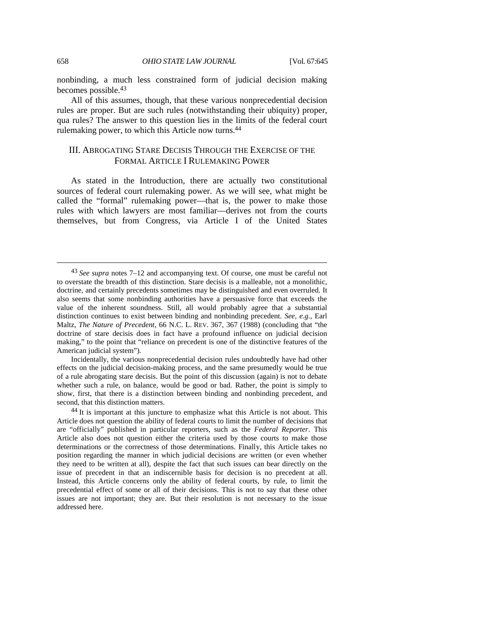nonbinding, a much less constrained form of judicial decision making becomes possible.43

All of this assumes, though, that these various nonprecedential decision rules are proper. But are such rules (notwithstanding their ubiquity) proper, qua rules? The answer to this question lies in the limits of the federal court rulemaking power, to which this Article now turns.44

### III. ABROGATING STARE DECISIS THROUGH THE EXERCISE OF THE FORMAL ARTICLE I RULEMAKING POWER

As stated in the Introduction, there are actually two constitutional sources of federal court rulemaking power. As we will see, what might be called the "formal" rulemaking power—that is, the power to make those rules with which lawyers are most familiar—derives not from the courts themselves, but from Congress, via Article I of the United States

Incidentally, the various nonprecedential decision rules undoubtedly have had other effects on the judicial decision-making process, and the same presumedly would be true of a rule abrogating stare decisis. But the point of this discussion (again) is not to debate whether such a rule, on balance, would be good or bad. Rather, the point is simply to show, first, that there is a distinction between binding and nonbinding precedent, and second, that this distinction matters.

<sup>44</sup> It is important at this juncture to emphasize what this Article is not about. This Article does not question the ability of federal courts to limit the number of decisions that are "officially" published in particular reporters, such as the *Federal Reporter*. This Article also does not question either the criteria used by those courts to make those determinations or the correctness of those determinations. Finally, this Article takes no position regarding the manner in which judicial decisions are written (or even whether they need to be written at all), despite the fact that such issues can bear directly on the issue of precedent in that an indiscernible basis for decision is no precedent at all. Instead, this Article concerns only the ability of federal courts, by rule, to limit the precedential effect of some or all of their decisions. This is not to say that these other issues are not important; they are. But their resolution is not necessary to the issue addressed here.

 <sup>43</sup> *See supra* notes 7–12 and accompanying text. Of course, one must be careful not to overstate the breadth of this distinction. Stare decisis is a malleable, not a monolithic, doctrine, and certainly precedents sometimes may be distinguished and even overruled. It also seems that some nonbinding authorities have a persuasive force that exceeds the value of the inherent soundness. Still, all would probably agree that a substantial distinction continues to exist between binding and nonbinding precedent. *See, e.g.*, Earl Maltz, *The Nature of Precedent*, 66 N.C. L. REV. 367, 367 (1988) (concluding that "the doctrine of stare decisis does in fact have a profound influence on judicial decision making," to the point that "reliance on precedent is one of the distinctive features of the American judicial system").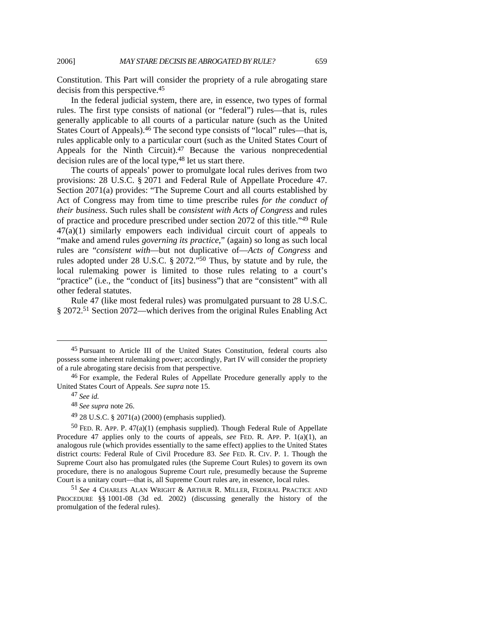Constitution. This Part will consider the propriety of a rule abrogating stare decisis from this perspective.45

In the federal judicial system, there are, in essence, two types of formal rules. The first type consists of national (or "federal") rules—that is, rules generally applicable to all courts of a particular nature (such as the United States Court of Appeals).<sup>46</sup> The second type consists of "local" rules—that is, rules applicable only to a particular court (such as the United States Court of Appeals for the Ninth Circuit).<sup>47</sup> Because the various nonprecedential decision rules are of the local type,<sup>48</sup> let us start there.

The courts of appeals' power to promulgate local rules derives from two provisions: 28 U.S.C. § 2071 and Federal Rule of Appellate Procedure 47. Section 2071(a) provides: "The Supreme Court and all courts established by Act of Congress may from time to time prescribe rules *for the conduct of their business*. Such rules shall be *consistent with Acts of Congress* and rules of practice and procedure prescribed under section 2072 of this title."49 Rule 47(a)(1) similarly empowers each individual circuit court of appeals to "make and amend rules *governing its practice*," (again) so long as such local rules are "*consistent with*—but not duplicative of—*Acts of Congress* and rules adopted under 28 U.S.C. § 2072."50 Thus, by statute and by rule, the local rulemaking power is limited to those rules relating to a court's "practice" (i.e., the "conduct of [its] business") that are "consistent" with all other federal statutes.

Rule 47 (like most federal rules) was promulgated pursuant to 28 U.S.C. § 2072.51 Section 2072—which derives from the original Rules Enabling Act

 <sup>45</sup> Pursuant to Article III of the United States Constitution, federal courts also possess some inherent rulemaking power; accordingly, Part IV will consider the propriety of a rule abrogating stare decisis from that perspective.

<sup>&</sup>lt;sup>46</sup> For example, the Federal Rules of Appellate Procedure generally apply to the United States Court of Appeals. *See supra* note 15.

<sup>47</sup> *See id.*

<sup>48</sup> *See supra* note 26.

 $49$  28 U.S.C. § 2071(a) (2000) (emphasis supplied).

<sup>&</sup>lt;sup>50</sup> FED. R. APP. P.  $47(a)(1)$  (emphasis supplied). Though Federal Rule of Appellate Procedure 47 applies only to the courts of appeals, *see* FED. R. APP. P. 1(a)(1), an analogous rule (which provides essentially to the same effect) applies to the United States district courts: Federal Rule of Civil Procedure 83. *See* FED. R. CIV. P. 1. Though the Supreme Court also has promulgated rules (the Supreme Court Rules) to govern its own procedure, there is no analogous Supreme Court rule, presumedly because the Supreme Court is a unitary court—that is, all Supreme Court rules are, in essence, local rules.

<sup>51</sup> *See* 4 CHARLES ALAN WRIGHT & ARTHUR R. MILLER, FEDERAL PRACTICE AND PROCEDURE §§ 1001-08 (3d ed. 2002) (discussing generally the history of the promulgation of the federal rules).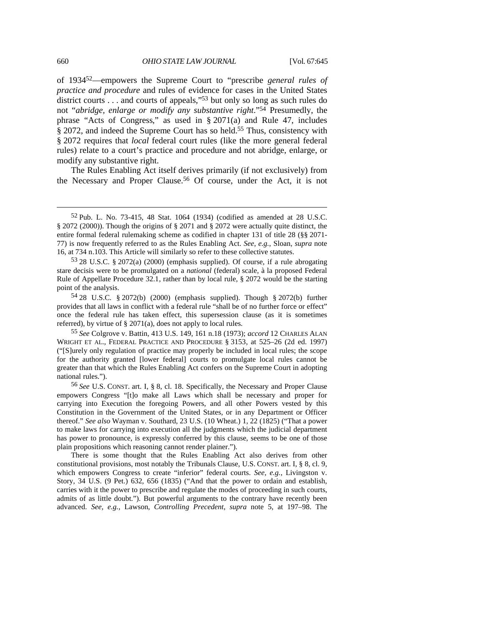of 193452—empowers the Supreme Court to "prescribe *general rules of practice and procedure* and rules of evidence for cases in the United States district courts . . . and courts of appeals,"53 but only so long as such rules do not "*abridge, enlarge or modify any substantive right*."54 Presumedly, the phrase "Acts of Congress," as used in § 2071(a) and Rule 47, includes § 2072, and indeed the Supreme Court has so held.<sup>55</sup> Thus, consistency with § 2072 requires that *local* federal court rules (like the more general federal rules) relate to a court's practice and procedure and not abridge, enlarge, or modify any substantive right.

The Rules Enabling Act itself derives primarily (if not exclusively) from the Necessary and Proper Clause.56 Of course, under the Act, it is not

54 28 U.S.C. § 2072(b) (2000) (emphasis supplied). Though § 2072(b) further provides that all laws in conflict with a federal rule "shall be of no further force or effect" once the federal rule has taken effect, this supersession clause (as it is sometimes referred), by virtue of § 2071(a), does not apply to local rules.

55 *See* Colgrove v. Battin, 413 U.S. 149, 161 n.18 (1973); *accord* 12 CHARLES ALAN WRIGHT ET AL., FEDERAL PRACTICE AND PROCEDURE § 3153, at 525–26 (2d ed. 1997) ("[S]urely only regulation of practice may properly be included in local rules; the scope for the authority granted [lower federal] courts to promulgate local rules cannot be greater than that which the Rules Enabling Act confers on the Supreme Court in adopting national rules.").

56 *See* U.S. CONST. art. I, § 8, cl. 18. Specifically, the Necessary and Proper Clause empowers Congress "[t]o make all Laws which shall be necessary and proper for carrying into Execution the foregoing Powers, and all other Powers vested by this Constitution in the Government of the United States, or in any Department or Officer thereof." *See also* Wayman v. Southard, 23 U.S. (10 Wheat.) 1, 22 (1825) ("That a power to make laws for carrying into execution all the judgments which the judicial department has power to pronounce, is expressly conferred by this clause, seems to be one of those plain propositions which reasoning cannot render plainer.").

There is some thought that the Rules Enabling Act also derives from other constitutional provisions, most notably the Tribunals Clause, U.S. CONST. art. I, § 8, cl. 9, which empowers Congress to create "inferior" federal courts. *See, e.g.*, Livingston v. Story, 34 U.S. (9 Pet.) 632, 656 (1835) ("And that the power to ordain and establish, carries with it the power to prescribe and regulate the modes of proceeding in such courts, admits of as little doubt."). But powerful arguments to the contrary have recently been advanced. *See, e.g.*, Lawson, *Controlling Precedent*, *supra* note 5, at 197–98. The

 <sup>52</sup> Pub. L. No. 73-415, 48 Stat. 1064 (1934) (codified as amended at 28 U.S.C. § 2072 (2000)). Though the origins of § 2071 and § 2072 were actually quite distinct, the entire formal federal rulemaking scheme as codified in chapter 131 of title 28 (§§ 2071- 77) is now frequently referred to as the Rules Enabling Act. *See, e.g.*, Sloan, *supra* note 16, at 734 n.103. This Article will similarly so refer to these collective statutes.

<sup>53</sup> 28 U.S.C. § 2072(a) (2000) (emphasis supplied). Of course, if a rule abrogating stare decisis were to be promulgated on a *national* (federal) scale, à la proposed Federal Rule of Appellate Procedure 32.1, rather than by local rule, § 2072 would be the starting point of the analysis.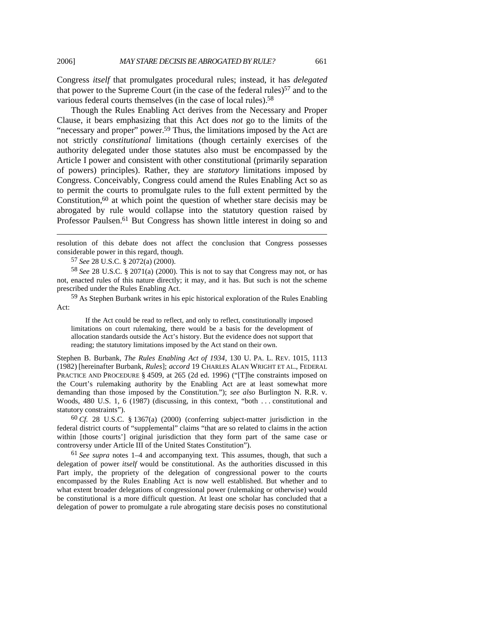Congress *itself* that promulgates procedural rules; instead, it has *delegated* that power to the Supreme Court (in the case of the federal rules)<sup>57</sup> and to the various federal courts themselves (in the case of local rules).58

Though the Rules Enabling Act derives from the Necessary and Proper Clause, it bears emphasizing that this Act does *not* go to the limits of the "necessary and proper" power.<sup>59</sup> Thus, the limitations imposed by the Act are not strictly *constitutional* limitations (though certainly exercises of the authority delegated under those statutes also must be encompassed by the Article I power and consistent with other constitutional (primarily separation of powers) principles). Rather, they are *statutory* limitations imposed by Congress. Conceivably, Congress could amend the Rules Enabling Act so as to permit the courts to promulgate rules to the full extent permitted by the Constitution, $60$  at which point the question of whether stare decisis may be abrogated by rule would collapse into the statutory question raised by Professor Paulsen.<sup>61</sup> But Congress has shown little interest in doing so and

resolution of this debate does not affect the conclusion that Congress possesses considerable power in this regard, though.

57 *See* 28 U.S.C. § 2072(a) (2000).

 $\overline{a}$ 

58 *See* 28 U.S.C. § 2071(a) (2000). This is not to say that Congress may not, or has not, enacted rules of this nature directly; it may, and it has. But such is not the scheme prescribed under the Rules Enabling Act.

59 As Stephen Burbank writes in his epic historical exploration of the Rules Enabling Act:

If the Act could be read to reflect, and only to reflect, constitutionally imposed limitations on court rulemaking, there would be a basis for the development of allocation standards outside the Act's history. But the evidence does not support that reading; the statutory limitations imposed by the Act stand on their own.

Stephen B. Burbank, *The Rules Enabling Act of 1934*, 130 U. PA. L. REV. 1015, 1113 (1982) [hereinafter Burbank, *Rules*]; *accord* 19 CHARLES ALAN WRIGHT ET AL., FEDERAL PRACTICE AND PROCEDURE § 4509, at 265 (2d ed. 1996) ("[T]he constraints imposed on the Court's rulemaking authority by the Enabling Act are at least somewhat more demanding than those imposed by the Constitution."); *see also* Burlington N. R.R. v. Woods, 480 U.S. 1, 6 (1987) (discussing, in this context, "both . . . constitutional and statutory constraints").

60 *Cf.* 28 U.S.C. § 1367(a) (2000) (conferring subject-matter jurisdiction in the federal district courts of "supplemental" claims "that are so related to claims in the action within [those courts'] original jurisdiction that they form part of the same case or controversy under Article III of the United States Constitution").

61 *See supra* notes 1–4 and accompanying text. This assumes, though, that such a delegation of power *itself* would be constitutional. As the authorities discussed in this Part imply, the propriety of the delegation of congressional power to the courts encompassed by the Rules Enabling Act is now well established. But whether and to what extent broader delegations of congressional power (rulemaking or otherwise) would be constitutional is a more difficult question. At least one scholar has concluded that a delegation of power to promulgate a rule abrogating stare decisis poses no constitutional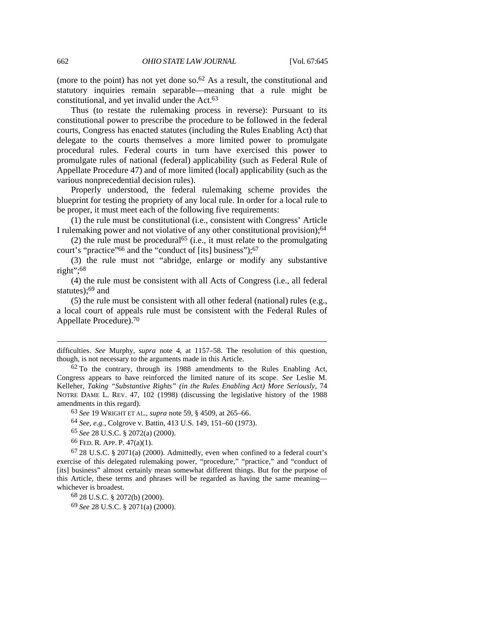(more to the point) has not yet done so.<sup>62</sup> As a result, the constitutional and statutory inquiries remain separable—meaning that a rule might be constitutional, and yet invalid under the Act.63

Thus (to restate the rulemaking process in reverse): Pursuant to its constitutional power to prescribe the procedure to be followed in the federal courts, Congress has enacted statutes (including the Rules Enabling Act) that delegate to the courts themselves a more limited power to promulgate procedural rules. Federal courts in turn have exercised this power to promulgate rules of national (federal) applicability (such as Federal Rule of Appellate Procedure 47) and of more limited (local) applicability (such as the various nonprecedential decision rules).

Properly understood, the federal rulemaking scheme provides the blueprint for testing the propriety of any local rule. In order for a local rule to be proper, it must meet each of the following five requirements:

(1) the rule must be constitutional (i.e., consistent with Congress' Article I rulemaking power and not violative of any other constitutional provision);64

(2) the rule must be procedural<sup> $65$ </sup> (i.e., it must relate to the promulgating court's "practice"<sup>66</sup> and the "conduct of [its] business");<sup>67</sup>

(3) the rule must not "abridge, enlarge or modify any substantive right";68

(4) the rule must be consistent with all Acts of Congress (i.e., all federal statutes):<sup>69</sup> and

(5) the rule must be consistent with all other federal (national) rules (e.g., a local court of appeals rule must be consistent with the Federal Rules of Appellate Procedure).70

63 *See* 19 WRIGHT ET AL., *supra* note 59, § 4509, at 265–66.

64 *See, e.g.*, Colgrove v. Battin, 413 U.S. 149, 151–60 (1973).

65 *See* 28 U.S.C. § 2072(a) (2000).

66 FED. R. APP. P. 47(a)(1).

 $67 28$  U.S.C. § 2071(a) (2000). Admittedly, even when confined to a federal court's exercise of this delegated rulemaking power, "procedure," "practice," and "conduct of [its] business" almost certainly mean somewhat different things. But for the purpose of this Article, these terms and phrases will be regarded as having the same meaning whichever is broadest.

68 28 U.S.C. § 2072(b) (2000).

69 *See* 28 U.S.C. § 2071(a) (2000).

difficulties. *See* Murphy, *supra* note 4, at 1157–58. The resolution of this question, though, is not necessary to the arguments made in this Article.

 $62$  To the contrary, through its 1988 amendments to the Rules Enabling Act, Congress appears to have reinforced the limited nature of its scope. *See* Leslie M. Kelleher, *Taking "Substantive Rights" (in the Rules Enabling Act) More Seriously*, 74 NOTRE DAME L. REV. 47, 102 (1998) (discussing the legislative history of the 1988 amendments in this regard).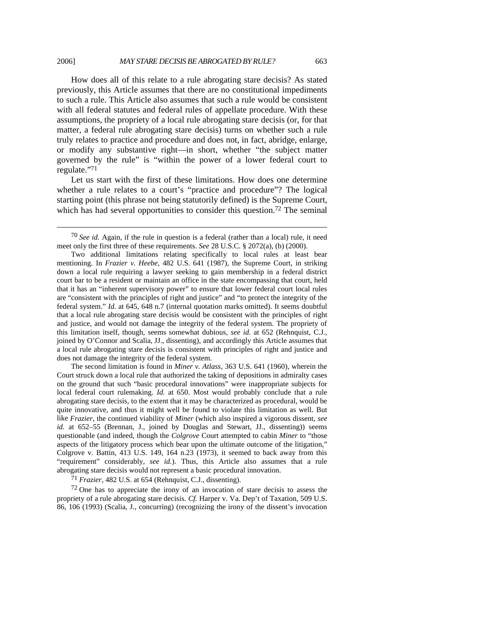How does all of this relate to a rule abrogating stare decisis? As stated previously, this Article assumes that there are no constitutional impediments to such a rule. This Article also assumes that such a rule would be consistent with all federal statutes and federal rules of appellate procedure. With these assumptions, the propriety of a local rule abrogating stare decisis (or, for that matter, a federal rule abrogating stare decisis) turns on whether such a rule truly relates to practice and procedure and does not, in fact, abridge, enlarge, or modify any substantive right—in short, whether "the subject matter governed by the rule" is "within the power of a lower federal court to regulate."71

Let us start with the first of these limitations. How does one determine whether a rule relates to a court's "practice and procedure"? The logical starting point (this phrase not being statutorily defined) is the Supreme Court, which has had several opportunities to consider this question.<sup>72</sup> The seminal

The second limitation is found in *Miner v. Atlass*, 363 U.S. 641 (1960), wherein the Court struck down a local rule that authorized the taking of depositions in admiralty cases on the ground that such "basic procedural innovations" were inappropriate subjects for local federal court rulemaking. *Id.* at 650. Most would probably conclude that a rule abrogating stare decisis, to the extent that it may be characterized as procedural, would be quite innovative, and thus it might well be found to violate this limitation as well. But like *Frazier*, the continued viability of *Miner* (which also inspired a vigorous dissent, *see id.* at 652–55 (Brennan, J., joined by Douglas and Stewart, JJ., dissenting)) seems questionable (and indeed, though the *Colgrove* Court attempted to cabin *Miner* to "those aspects of the litigatory process which bear upon the ultimate outcome of the litigation," Colgrove v. Battin, 413 U.S. 149, 164 n.23 (1973), it seemed to back away from this "requirement" considerably, *see id.*). Thus, this Article also assumes that a rule abrogating stare decisis would not represent a basic procedural innovation.

71 *Frazier*, 482 U.S. at 654 (Rehnquist, C.J., dissenting).

 $72$  One has to appreciate the irony of an invocation of stare decisis to assess the propriety of a rule abrogating stare decisis. *Cf.* Harper v. Va. Dep't of Taxation, 509 U.S. 86, 106 (1993) (Scalia, J., concurring) (recognizing the irony of the dissent's invocation

 <sup>70</sup> *See id.* Again, if the rule in question is a federal (rather than a local) rule, it need meet only the first three of these requirements. *See* 28 U.S.C. § 2072(a), (b) (2000).

Two additional limitations relating specifically to local rules at least bear mentioning. In *Frazier v. Heebe*, 482 U.S. 641 (1987), the Supreme Court, in striking down a local rule requiring a lawyer seeking to gain membership in a federal district court bar to be a resident or maintain an office in the state encompassing that court, held that it has an "inherent supervisory power" to ensure that lower federal court local rules are "consistent with the principles of right and justice" and "to protect the integrity of the federal system." *Id.* at 645, 648 n.7 (internal quotation marks omitted). It seems doubtful that a local rule abrogating stare decisis would be consistent with the principles of right and justice, and would not damage the integrity of the federal system. The propriety of this limitation itself, though, seems somewhat dubious, *see id.* at 652 (Rehnquist, C.J., joined by O'Connor and Scalia, JJ., dissenting), and accordingly this Article assumes that a local rule abrogating stare decisis is consistent with principles of right and justice and does not damage the integrity of the federal system.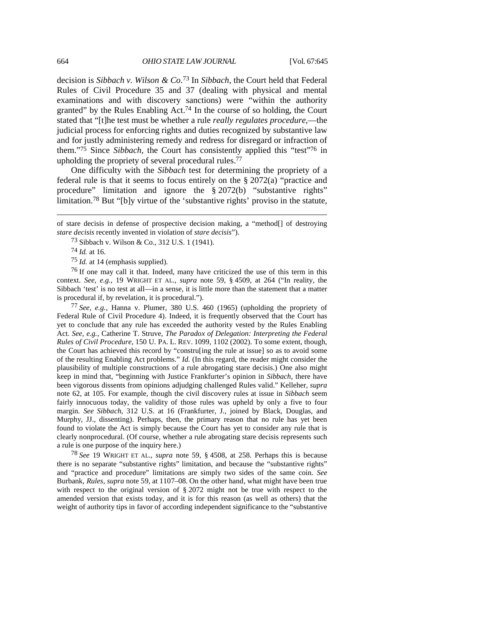decision is *Sibbach v. Wilson & Co*. 73 In *Sibbach*, the Court held that Federal Rules of Civil Procedure 35 and 37 (dealing with physical and mental examinations and with discovery sanctions) were "within the authority granted" by the Rules Enabling Act.74 In the course of so holding, the Court stated that "[t]he test must be whether a rule *really regulates procedure*,—the judicial process for enforcing rights and duties recognized by substantive law and for justly administering remedy and redress for disregard or infraction of them."75 Since *Sibbach*, the Court has consistently applied this "test"76 in upholding the propriety of several procedural rules.<sup>77</sup>

One difficulty with the *Sibbach* test for determining the propriety of a federal rule is that it seems to focus entirely on the § 2072(a) "practice and procedure" limitation and ignore the § 2072(b) "substantive rights" limitation.78 But "[b]y virtue of the 'substantive rights' proviso in the statute,

76 If one may call it that. Indeed, many have criticized the use of this term in this context. *See, e.g.*, 19 WRIGHT ET AL., *supra* note 59, § 4509, at 264 ("In reality, the Sibbach 'test' is no test at all—in a sense, it is little more than the statement that a matter is procedural if, by revelation, it is procedural.").

77 *See, e.g.*, Hanna v. Plumer, 380 U.S. 460 (1965) (upholding the propriety of Federal Rule of Civil Procedure 4). Indeed, it is frequently observed that the Court has yet to conclude that any rule has exceeded the authority vested by the Rules Enabling Act. *See, e.g.*, Catherine T. Struve, *The Paradox of Delegation: Interpreting the Federal Rules of Civil Procedure*, 150 U. PA. L. REV. 1099, 1102 (2002). To some extent, though, the Court has achieved this record by "constru[ing the rule at issue] so as to avoid some of the resulting Enabling Act problems." *Id.* (In this regard, the reader might consider the plausibility of multiple constructions of a rule abrogating stare decisis.) One also might keep in mind that, "beginning with Justice Frankfurter's opinion in *Sibbach*, there have been vigorous dissents from opinions adjudging challenged Rules valid." Kelleher, *supra* note 62, at 105. For example, though the civil discovery rules at issue in *Sibbach* seem fairly innocuous today, the validity of those rules was upheld by only a five to four margin. *See Sibbach*, 312 U.S. at 16 (Frankfurter, J., joined by Black, Douglas, and Murphy, JJ., dissenting). Perhaps, then, the primary reason that no rule has yet been found to violate the Act is simply because the Court has yet to consider any rule that is clearly nonprocedural. (Of course, whether a rule abrogating stare decisis represents such a rule is one purpose of the inquiry here.)

78 *See* 19 WRIGHT ET AL., *supra* note 59, § 4508, at 258. Perhaps this is because there is no separate "substantive rights" limitation, and because the "substantive rights" and "practice and procedure" limitations are simply two sides of the same coin. *See* Burbank, *Rules*, *supra* note 59, at 1107–08. On the other hand, what might have been true with respect to the original version of § 2072 might not be true with respect to the amended version that exists today, and it is for this reason (as well as others) that the weight of authority tips in favor of according independent significance to the "substantive

of stare decisis in defense of prospective decision making, a "method[] of destroying *stare decisis* recently invented in violation of *stare decisis*").

<sup>73</sup> Sibbach v. Wilson & Co., 312 U.S. 1 (1941).

<sup>74</sup> *Id.* at 16.

<sup>75</sup> *Id.* at 14 (emphasis supplied).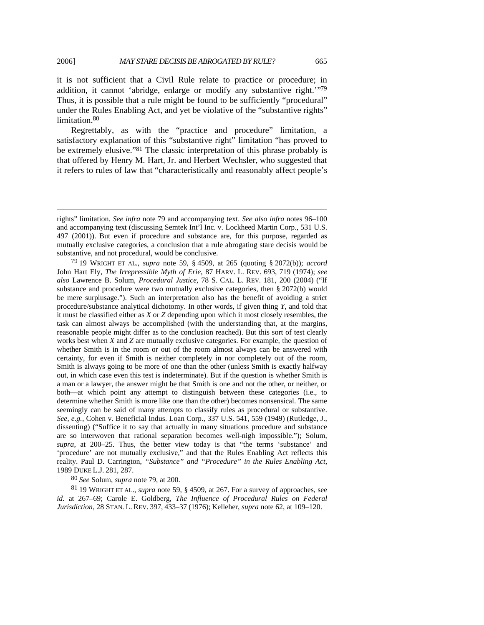it is not sufficient that a Civil Rule relate to practice or procedure; in addition, it cannot 'abridge, enlarge or modify any substantive right.'"79 Thus, it is possible that a rule might be found to be sufficiently "procedural" under the Rules Enabling Act, and yet be violative of the "substantive rights" limitation.<sup>80</sup>

Regrettably, as with the "practice and procedure" limitation, a satisfactory explanation of this "substantive right" limitation "has proved to be extremely elusive."81 The classic interpretation of this phrase probably is that offered by Henry M. Hart, Jr. and Herbert Wechsler, who suggested that it refers to rules of law that "characteristically and reasonably affect people's

79 19 WRIGHT ET AL., *supra* note 59, § 4509, at 265 (quoting § 2072(b)); *accord* John Hart Ely, *The Irrepressible Myth of Erie*, 87 HARV. L. REV. 693, 719 (1974); *see also* Lawrence B. Solum, *Procedural Justice*, 78 S. CAL. L. REV. 181, 200 (2004) ("If substance and procedure were two mutually exclusive categories, then § 2072(b) would be mere surplusage."). Such an interpretation also has the benefit of avoiding a strict procedure/substance analytical dichotomy. In other words, if given thing *Y*, and told that it must be classified either as *X* or *Z* depending upon which it most closely resembles, the task can almost always be accomplished (with the understanding that, at the margins, reasonable people might differ as to the conclusion reached). But this sort of test clearly works best when *X* and *Z* are mutually exclusive categories. For example, the question of whether Smith is in the room or out of the room almost always can be answered with certainty, for even if Smith is neither completely in nor completely out of the room, Smith is always going to be more of one than the other (unless Smith is exactly halfway out, in which case even this test is indeterminate). But if the question is whether Smith is a man or a lawyer, the answer might be that Smith is one and not the other, or neither, or both—at which point any attempt to distinguish between these categories (i.e., to determine whether Smith is more like one than the other) becomes nonsensical. The same seemingly can be said of many attempts to classify rules as procedural or substantive. *See, e.g.*, Cohen v. Beneficial Indus. Loan Corp., 337 U.S. 541, 559 (1949) (Rutledge, J., dissenting) ("Suffice it to say that actually in many situations procedure and substance are so interwoven that rational separation becomes well-nigh impossible."); Solum, *supra*, at 200–25. Thus, the better view today is that "the terms 'substance' and 'procedure' are not mutually exclusive," and that the Rules Enabling Act reflects this reality. Paul D. Carrington, *"Substance" and "Procedure" in the Rules Enabling Act*, 1989 DUKE L.J. 281, 287.

80 *See* Solum, *supra* note 79, at 200.

 $\overline{a}$ 

81 19 WRIGHT ET AL., *supra* note 59, § 4509, at 267. For a survey of approaches, see *id.* at 267–69; Carole E. Goldberg, *The Influence of Procedural Rules on Federal Jurisdiction*, 28 STAN. L. REV. 397, 433–37 (1976); Kelleher, *supra* note 62, at 109–120.

rights" limitation. *See infra* note 79 and accompanying text. *See also infra* notes 96–100 and accompanying text (discussing Semtek Int'l Inc. v. Lockheed Martin Corp., 531 U.S. 497 (2001)). But even if procedure and substance are, for this purpose, regarded as mutually exclusive categories, a conclusion that a rule abrogating stare decisis would be substantive, and not procedural, would be conclusive.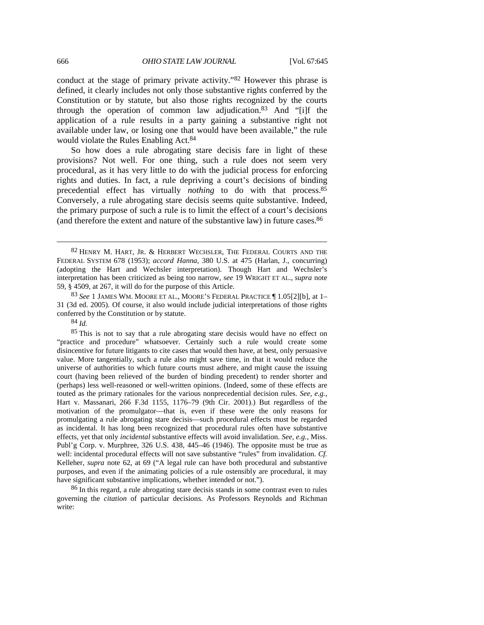conduct at the stage of primary private activity."82 However this phrase is defined, it clearly includes not only those substantive rights conferred by the Constitution or by statute, but also those rights recognized by the courts through the operation of common law adjudication.83 And "[i]f the application of a rule results in a party gaining a substantive right not available under law, or losing one that would have been available," the rule would violate the Rules Enabling Act.<sup>84</sup>

So how does a rule abrogating stare decisis fare in light of these provisions? Not well. For one thing, such a rule does not seem very procedural, as it has very little to do with the judicial process for enforcing rights and duties. In fact, a rule depriving a court's decisions of binding precedential effect has virtually *nothing* to do with that process.85 Conversely, a rule abrogating stare decisis seems quite substantive. Indeed, the primary purpose of such a rule is to limit the effect of a court's decisions (and therefore the extent and nature of the substantive law) in future cases. $86$ 

83 *See* 1 JAMES WM. MOORE ET AL., MOORE'S FEDERAL PRACTICE ¶ 1.05[2][b], at 1– 31 (3d ed. 2005). Of course, it also would include judicial interpretations of those rights conferred by the Constitution or by statute.

84 *Id.*

85 This is not to say that a rule abrogating stare decisis would have no effect on "practice and procedure" whatsoever. Certainly such a rule would create some disincentive for future litigants to cite cases that would then have, at best, only persuasive value. More tangentially, such a rule also might save time, in that it would reduce the universe of authorities to which future courts must adhere, and might cause the issuing court (having been relieved of the burden of binding precedent) to render shorter and (perhaps) less well-reasoned or well-written opinions. (Indeed, some of these effects are touted as the primary rationales for the various nonprecedential decision rules. *See, e.g.*, Hart v. Massanari, 266 F.3d 1155, 1176–79 (9th Cir. 2001).) But regardless of the motivation of the promulgator—that is, even if these were the only reasons for promulgating a rule abrogating stare decisis—such procedural effects must be regarded as incidental. It has long been recognized that procedural rules often have substantive effects, yet that only *incidental* substantive effects will avoid invalidation. *See, e.g.*, Miss. Publ'g Corp. v. Murphree, 326 U.S. 438, 445–46 (1946). The opposite must be true as well: incidental procedural effects will not save substantive "rules" from invalidation. *Cf.* Kelleher, *supra* note 62, at 69 ("A legal rule can have both procedural and substantive purposes, and even if the animating policies of a rule ostensibly are procedural, it may have significant substantive implications, whether intended or not.").

86 In this regard, a rule abrogating stare decisis stands in some contrast even to rules governing the *citation* of particular decisions. As Professors Reynolds and Richman write:

<sup>82</sup> HENRY M. HART, JR. & HERBERT WECHSLER, THE FEDERAL COURTS AND THE FEDERAL SYSTEM 678 (1953); *accord Hanna*, 380 U.S. at 475 (Harlan, J., concurring) (adopting the Hart and Wechsler interpretation). Though Hart and Wechsler's interpretation has been criticized as being too narrow, *see* 19 WRIGHT ET AL., *supra* note 59, § 4509, at 267, it will do for the purpose of this Article.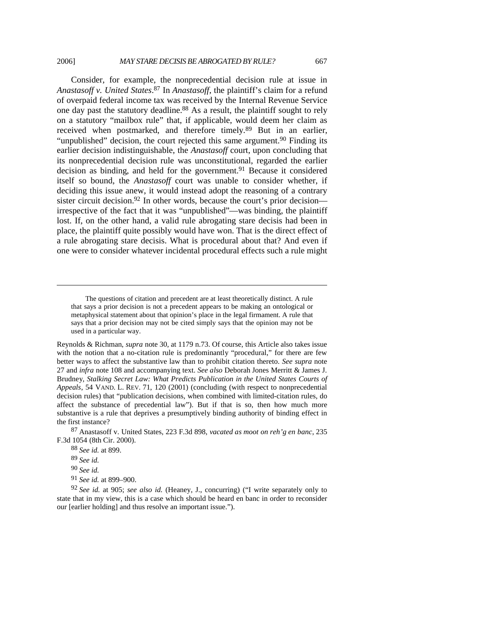Consider, for example, the nonprecedential decision rule at issue in *Anastasoff v. United States*. 87 In *Anastasoff*, the plaintiff's claim for a refund of overpaid federal income tax was received by the Internal Revenue Service one day past the statutory deadline.88 As a result, the plaintiff sought to rely on a statutory "mailbox rule" that, if applicable, would deem her claim as received when postmarked, and therefore timely.89 But in an earlier, "unpublished" decision, the court rejected this same argument.<sup>90</sup> Finding its earlier decision indistinguishable, the *Anastasoff* court, upon concluding that its nonprecedential decision rule was unconstitutional, regarded the earlier decision as binding, and held for the government.91 Because it considered itself so bound, the *Anastasoff* court was unable to consider whether, if deciding this issue anew, it would instead adopt the reasoning of a contrary sister circuit decision.<sup>92</sup> In other words, because the court's prior decision irrespective of the fact that it was "unpublished"—was binding, the plaintiff lost. If, on the other hand, a valid rule abrogating stare decisis had been in place, the plaintiff quite possibly would have won. That is the direct effect of a rule abrogating stare decisis. What is procedural about that? And even if one were to consider whatever incidental procedural effects such a rule might

87 Anastasoff v. United States, 223 F.3d 898, *vacated as moot on reh'g en banc*, 235 F.3d 1054 (8th Cir. 2000).

The questions of citation and precedent are at least theoretically distinct. A rule that says a prior decision is not a precedent appears to be making an ontological or metaphysical statement about that opinion's place in the legal firmament. A rule that says that a prior decision may not be cited simply says that the opinion may not be used in a particular way.

Reynolds & Richman, *supra* note 30, at 1179 n.73. Of course, this Article also takes issue with the notion that a no-citation rule is predominantly "procedural," for there are few better ways to affect the substantive law than to prohibit citation thereto. *See supra* note 27 and *infra* note 108 and accompanying text. *See also* Deborah Jones Merritt & James J. Brudney, *Stalking Secret Law: What Predicts Publication in the United States Courts of Appeals*, 54 VAND. L. REV. 71, 120 (2001) (concluding (with respect to nonprecedential decision rules) that "publication decisions, when combined with limited-citation rules, do affect the substance of precedential law"). But if that is so, then how much more substantive is a rule that deprives a presumptively binding authority of binding effect in the first instance?

<sup>88</sup> *See id.* at 899.

<sup>89</sup> *See id.*

<sup>90</sup> *See id.*

<sup>91</sup> *See id.* at 899–900.

<sup>92</sup> *See id.* at 905; *see also id.* (Heaney, J., concurring) ("I write separately only to state that in my view, this is a case which should be heard en banc in order to reconsider our [earlier holding] and thus resolve an important issue.").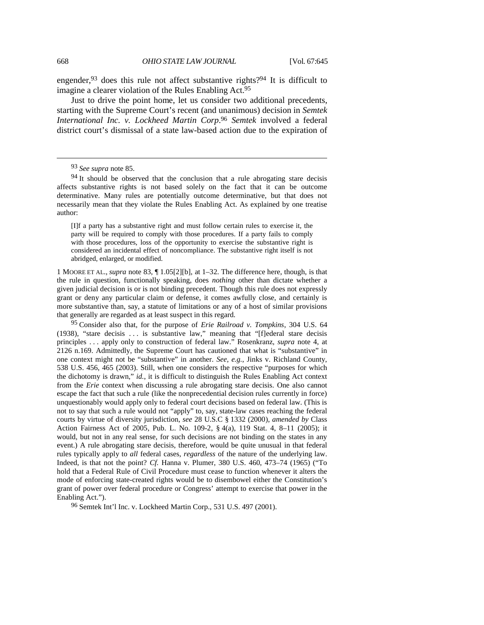engender,93 does this rule not affect substantive rights?94 It is difficult to imagine a clearer violation of the Rules Enabling Act.<sup>95</sup>

Just to drive the point home, let us consider two additional precedents, starting with the Supreme Court's recent (and unanimous) decision in *Semtek International Inc. v. Lockheed Martin Corp*. <sup>96</sup> *Semtek* involved a federal district court's dismissal of a state law-based action due to the expiration of

[I]f a party has a substantive right and must follow certain rules to exercise it, the party will be required to comply with those procedures. If a party fails to comply with those procedures, loss of the opportunity to exercise the substantive right is considered an incidental effect of noncompliance. The substantive right itself is not abridged, enlarged, or modified.

1 MOORE ET AL., *supra* note 83, ¶ 1.05[2][b], at 1–32. The difference here, though, is that the rule in question, functionally speaking, does *nothing* other than dictate whether a given judicial decision is or is not binding precedent. Though this rule does not expressly grant or deny any particular claim or defense, it comes awfully close, and certainly is more substantive than, say, a statute of limitations or any of a host of similar provisions that generally are regarded as at least suspect in this regard.

95 Consider also that, for the purpose of *Erie Railroad v. Tompkins*, 304 U.S. 64 (1938), "stare decisis . . . is substantive law," meaning that "[f]ederal stare decisis principles . . . apply only to construction of federal law." Rosenkranz, *supra* note 4, at 2126 n.169. Admittedly, the Supreme Court has cautioned that what is "substantive" in one context might not be "substantive" in another. *See, e.g.*, Jinks v. Richland County, 538 U.S. 456, 465 (2003). Still, when one considers the respective "purposes for which the dichotomy is drawn," *id.*, it is difficult to distinguish the Rules Enabling Act context from the *Erie* context when discussing a rule abrogating stare decisis. One also cannot escape the fact that such a rule (like the nonprecedential decision rules currently in force) unquestionably would apply only to federal court decisions based on federal law. (This is not to say that such a rule would not "apply" to, say, state-law cases reaching the federal courts by virtue of diversity jurisdiction, *see* 28 U.S.C § 1332 (2000), *amended by* Class Action Fairness Act of 2005, Pub. L. No. 109-2, § 4(a), 119 Stat. 4, 8–11 (2005); it would, but not in any real sense, for such decisions are not binding on the states in any event.) A rule abrogating stare decisis, therefore, would be quite unusual in that federal rules typically apply to *all* federal cases, *regardless* of the nature of the underlying law. Indeed, is that not the point? *Cf.* Hanna v. Plumer, 380 U.S. 460, 473–74 (1965) ("To hold that a Federal Rule of Civil Procedure must cease to function whenever it alters the mode of enforcing state-created rights would be to disembowel either the Constitution's grant of power over federal procedure or Congress' attempt to exercise that power in the Enabling Act.").

96 Semtek Int'l Inc. v. Lockheed Martin Corp., 531 U.S. 497 (2001).

 <sup>93</sup> *See supra* note 85.

<sup>&</sup>lt;sup>94</sup> It should be observed that the conclusion that a rule abrogating stare decisis affects substantive rights is not based solely on the fact that it can be outcome determinative. Many rules are potentially outcome determinative, but that does not necessarily mean that they violate the Rules Enabling Act. As explained by one treatise author: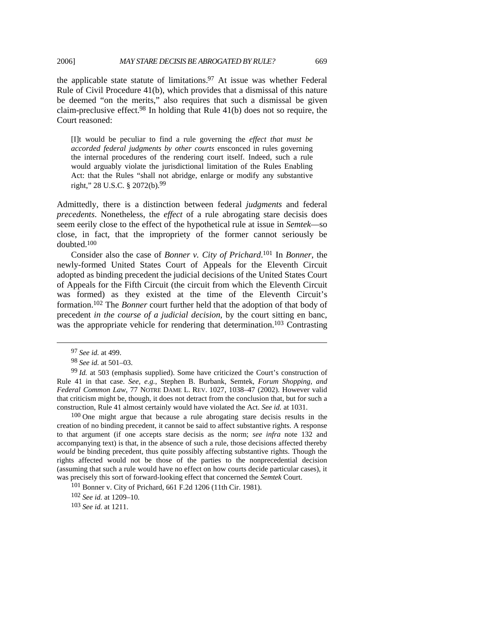the applicable state statute of limitations.<sup>97</sup> At issue was whether Federal Rule of Civil Procedure 41(b), which provides that a dismissal of this nature be deemed "on the merits," also requires that such a dismissal be given claim-preclusive effect.98 In holding that Rule 41(b) does not so require, the Court reasoned:

[I]t would be peculiar to find a rule governing the *effect that must be accorded federal judgments by other courts* ensconced in rules governing the internal procedures of the rendering court itself. Indeed, such a rule would arguably violate the jurisdictional limitation of the Rules Enabling Act: that the Rules "shall not abridge, enlarge or modify any substantive right," 28 U.S.C. § 2072(b).99

Admittedly, there is a distinction between federal *judgments* and federal *precedents*. Nonetheless, the *effect* of a rule abrogating stare decisis does seem eerily close to the effect of the hypothetical rule at issue in *Semtek*—so close, in fact, that the impropriety of the former cannot seriously be doubted.100

Consider also the case of *Bonner v. City of Prichard*. 101 In *Bonner*, the newly-formed United States Court of Appeals for the Eleventh Circuit adopted as binding precedent the judicial decisions of the United States Court of Appeals for the Fifth Circuit (the circuit from which the Eleventh Circuit was formed) as they existed at the time of the Eleventh Circuit's formation.102 The *Bonner* court further held that the adoption of that body of precedent *in the course of a judicial decision*, by the court sitting en banc, was the appropriate vehicle for rendering that determination.<sup>103</sup> Contrasting

100 One might argue that because a rule abrogating stare decisis results in the creation of no binding precedent, it cannot be said to affect substantive rights. A response to that argument (if one accepts stare decisis as the norm; *see infra* note 132 and accompanying text) is that, in the absence of such a rule, those decisions affected thereby *would* be binding precedent, thus quite possibly affecting substantive rights. Though the rights affected would not be those of the parties to the nonprecedential decision (assuming that such a rule would have no effect on how courts decide particular cases), it was precisely this sort of forward-looking effect that concerned the *Semtek* Court.

 <sup>97</sup> *See id.* at 499.

<sup>98</sup> *See id.* at 501–03.

<sup>99</sup> *Id.* at 503 (emphasis supplied). Some have criticized the Court's construction of Rule 41 in that case. *See, e.g.*, Stephen B. Burbank, Semtek*, Forum Shopping, and Federal Common Law*, 77 NOTRE DAME L. REV. 1027, 1038–47 (2002). However valid that criticism might be, though, it does not detract from the conclusion that, but for such a construction, Rule 41 almost certainly would have violated the Act. *See id.* at 1031.

<sup>101</sup> Bonner v. City of Prichard, 661 F.2d 1206 (11th Cir. 1981).

<sup>102</sup> *See id.* at 1209–10.

<sup>103</sup> *See id.* at 1211.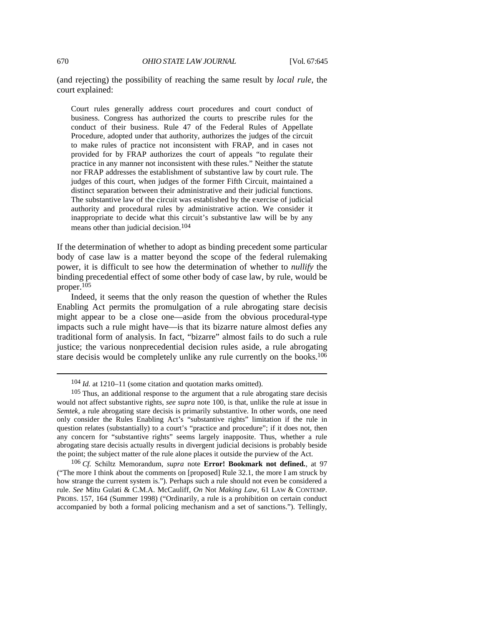(and rejecting) the possibility of reaching the same result by *local rule*, the court explained:

Court rules generally address court procedures and court conduct of business. Congress has authorized the courts to prescribe rules for the conduct of their business. Rule 47 of the Federal Rules of Appellate Procedure, adopted under that authority, authorizes the judges of the circuit to make rules of practice not inconsistent with FRAP, and in cases not provided for by FRAP authorizes the court of appeals "to regulate their practice in any manner not inconsistent with these rules." Neither the statute nor FRAP addresses the establishment of substantive law by court rule. The judges of this court, when judges of the former Fifth Circuit, maintained a distinct separation between their administrative and their judicial functions. The substantive law of the circuit was established by the exercise of judicial authority and procedural rules by administrative action. We consider it inappropriate to decide what this circuit's substantive law will be by any means other than judicial decision.<sup>104</sup>

If the determination of whether to adopt as binding precedent some particular body of case law is a matter beyond the scope of the federal rulemaking power, it is difficult to see how the determination of whether to *nullify* the binding precedential effect of some other body of case law, by rule, would be proper.105

Indeed, it seems that the only reason the question of whether the Rules Enabling Act permits the promulgation of a rule abrogating stare decisis might appear to be a close one—aside from the obvious procedural-type impacts such a rule might have—is that its bizarre nature almost defies any traditional form of analysis. In fact, "bizarre" almost fails to do such a rule justice; the various nonprecedential decision rules aside, a rule abrogating stare decisis would be completely unlike any rule currently on the books.<sup>106</sup>

 <sup>104</sup> *Id.* at 1210–11 (some citation and quotation marks omitted).

<sup>105</sup> Thus, an additional response to the argument that a rule abrogating stare decisis would not affect substantive rights, *see supra* note 100, is that, unlike the rule at issue in *Semtek*, a rule abrogating stare decisis is primarily substantive. In other words, one need only consider the Rules Enabling Act's "substantive rights" limitation if the rule in question relates (substantially) to a court's "practice and procedure"; if it does not, then any concern for "substantive rights" seems largely inapposite. Thus, whether a rule abrogating stare decisis actually results in divergent judicial decisions is probably beside the point; the subject matter of the rule alone places it outside the purview of the Act.

<sup>106</sup> *Cf.* Schiltz Memorandum, *supra* note **Error! Bookmark not defined.**, at 97 ("The more I think about the comments on [proposed] Rule 32.1, the more I am struck by how strange the current system is."). Perhaps such a rule should not even be considered a rule. *See* Mitu Gulati & C.M.A. McCauliff, *On* Not *Making Law*, 61 LAW & CONTEMP. PROBS. 157, 164 (Summer 1998) ("Ordinarily, a rule is a prohibition on certain conduct accompanied by both a formal policing mechanism and a set of sanctions."). Tellingly,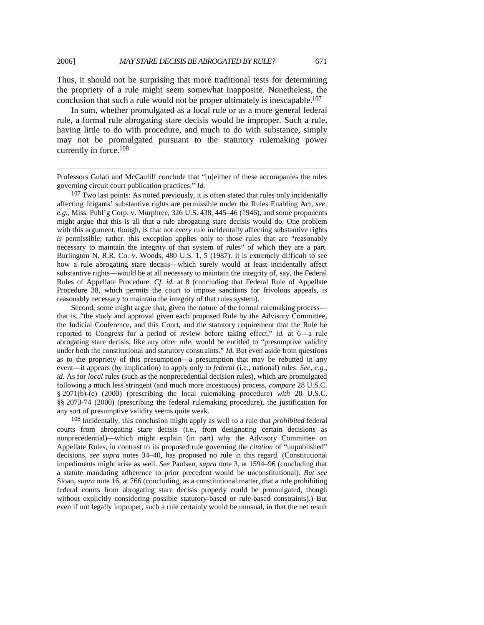$\overline{a}$ 

Thus, it should not be surprising that more traditional tests for determining the propriety of a rule might seem somewhat inapposite. Nonetheless, the conclusion that such a rule would not be proper ultimately is inescapable.107

In sum, whether promulgated as a local rule or as a more general federal rule, a formal rule abrogating stare decisis would be improper. Such a rule, having little to do with procedure, and much to do with substance, simply may not be promulgated pursuant to the statutory rulemaking power currently in force.108

<sup>107</sup> Two last points: As noted previously, it is often stated that rules only incidentally affecting litigants' substantive rights are permissible under the Rules Enabling Act, *see, e.g.*, Miss. Publ'g Corp. v. Murphree, 326 U.S. 438, 445–46 (1946), and some proponents might argue that this is all that a rule abrogating stare decisis would do. One problem with this argument, though, is that not *every* rule incidentally affecting substantive rights *is* permissible; rather, this exception applies only to those rules that are "reasonably necessary to maintain the integrity of that system of rules" of which they are a part. Burlington N. R.R. Co. v. Woods, 480 U.S. 1, 5 (1987). It is extremely difficult to see how a rule abrogating stare decisis—which surely would at least incidentally affect substantive rights—would be at all necessary to maintain the integrity of, say, the Federal Rules of Appellate Procedure. *Cf. id.* at 8 (concluding that Federal Rule of Appellate Procedure 38, which permits the court to impose sanctions for frivolous appeals, is reasonably necessary to maintain the integrity of that rules system).

Second, some might argue that, given the nature of the formal rulemaking process that is, "the study and approval given each proposed Rule by the Advisory Committee, the Judicial Conference, and this Court, and the statutory requirement that the Rule be reported to Congress for a period of review before taking effect," *id.* at 6—a rule abrogating stare decisis, like any other rule, would be entitled to "presumptive validity under both the constitutional and statutory constraints." *Id.* But even aside from questions as to the propriety of this presumption—a presumption that may be rebutted in any event—it appears (by implication) to apply only to *federal* (i.e., national) rules. *See, e.g.*, *id*. As for *local* rules (such as the nonprecedential decision rules), which are promulgated following a much less stringent (and much more incestuous) process, *compare* 28 U.S.C. § 2071(b)-(e) (2000) (prescribing the local rulemaking procedure) *with* 28 U.S.C. §§ 2073-74 (2000) (prescribing the federal rulemaking procedure), the justification for any sort of presumptive validity seems quite weak.

108 Incidentally, this conclusion might apply as well to a rule that *prohibited* federal courts from abrogating stare decisis (i.e., from designating certain decisions as nonprecedential)—which might explain (in part) why the Advisory Committee on Appellate Rules, in contrast to its proposed rule governing the *citation* of "unpublished" decisions, *see supra* notes 34–40, has proposed no rule in this regard. (Constitutional impediments might arise as well. *See* Paulsen, *supra* note 3, at 1594–96 (concluding that a statute mandating adherence to prior precedent would be unconstitutional). *But see* Sloan, *supra* note 16, at 766 (concluding, as a constitutional matter, that a rule prohibiting federal courts from abrogating stare decisis properly could be promulgated, though without explicitly considering possible statutory-based or rule-based constraints).) But even if not legally improper, such a rule certainly would be unusual, in that the net result

Professors Gulati and McCauliff conclude that "[n]either of these accompanies the rules governing circuit court publication practices." *Id.*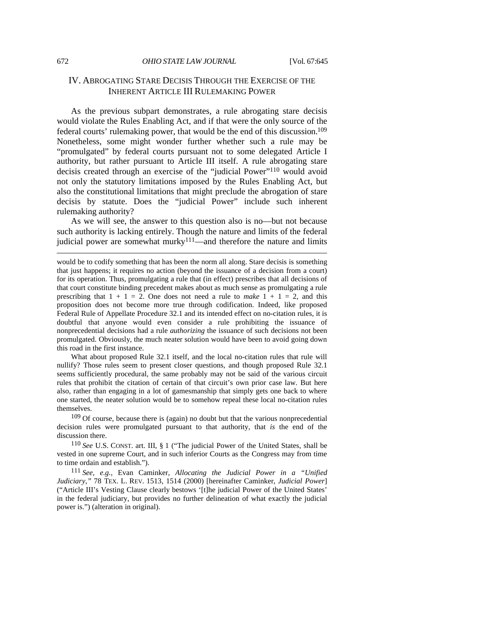## IV. ABROGATING STARE DECISIS THROUGH THE EXERCISE OF THE INHERENT ARTICLE III RULEMAKING POWER

As the previous subpart demonstrates, a rule abrogating stare decisis would violate the Rules Enabling Act, and if that were the only source of the federal courts' rulemaking power, that would be the end of this discussion.109 Nonetheless, some might wonder further whether such a rule may be "promulgated" by federal courts pursuant not to some delegated Article I authority, but rather pursuant to Article III itself. A rule abrogating stare decisis created through an exercise of the "judicial Power"110 would avoid not only the statutory limitations imposed by the Rules Enabling Act, but also the constitutional limitations that might preclude the abrogation of stare decisis by statute. Does the "judicial Power" include such inherent rulemaking authority?

As we will see, the answer to this question also is no—but not because such authority is lacking entirely. Though the nature and limits of the federal judicial power are somewhat murky $111$ —and therefore the nature and limits

What about proposed Rule 32.1 itself, and the local no-citation rules that rule will nullify? Those rules seem to present closer questions, and though proposed Rule 32.1 seems sufficiently procedural, the same probably may not be said of the various circuit rules that prohibit the citation of certain of that circuit's own prior case law. But here also, rather than engaging in a lot of gamesmanship that simply gets one back to where one started, the neater solution would be to somehow repeal these local no-citation rules themselves.

<sup>109</sup> Of course, because there is (again) no doubt but that the various nonprecedential decision rules were promulgated pursuant to that authority, that *is* the end of the discussion there.

110 *See* U.S. CONST. art. III, § 1 ("The judicial Power of the United States, shall be vested in one supreme Court, and in such inferior Courts as the Congress may from time to time ordain and establish.").

111 *See, e.g.*, Evan Caminker, *Allocating the Judicial Power in a "Unified Judiciary*,*"* 78 TEX. L. REV. 1513, 1514 (2000) [hereinafter Caminker, *Judicial Power*] ("Article III's Vesting Clause clearly bestows '[t]he judicial Power of the United States' in the federal judiciary, but provides no further delineation of what exactly the judicial power is.") (alteration in original).

would be to codify something that has been the norm all along. Stare decisis is something that just happens; it requires no action (beyond the issuance of a decision from a court) for its operation. Thus, promulgating a rule that (in effect) prescribes that all decisions of that court constitute binding precedent makes about as much sense as promulgating a rule prescribing that  $1 + 1 = 2$ . One does not need a rule to *make*  $1 + 1 = 2$ , and this proposition does not become more true through codification. Indeed, like proposed Federal Rule of Appellate Procedure 32.1 and its intended effect on no-citation rules, it is doubtful that anyone would even consider a rule prohibiting the issuance of nonprecedential decisions had a rule *authorizing* the issuance of such decisions not been promulgated. Obviously, the much neater solution would have been to avoid going down this road in the first instance.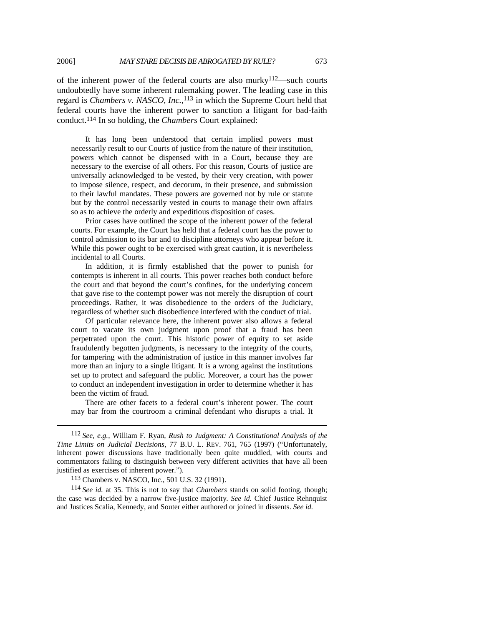of the inherent power of the federal courts are also murky<sup>112</sup>—such courts undoubtedly have some inherent rulemaking power. The leading case in this regard is *Chambers v. NASCO, Inc.*, 113 in which the Supreme Court held that federal courts have the inherent power to sanction a litigant for bad-faith conduct.114 In so holding, the *Chambers* Court explained:

It has long been understood that certain implied powers must necessarily result to our Courts of justice from the nature of their institution, powers which cannot be dispensed with in a Court, because they are necessary to the exercise of all others. For this reason, Courts of justice are universally acknowledged to be vested, by their very creation, with power to impose silence, respect, and decorum, in their presence, and submission to their lawful mandates. These powers are governed not by rule or statute but by the control necessarily vested in courts to manage their own affairs so as to achieve the orderly and expeditious disposition of cases.

Prior cases have outlined the scope of the inherent power of the federal courts. For example, the Court has held that a federal court has the power to control admission to its bar and to discipline attorneys who appear before it. While this power ought to be exercised with great caution, it is nevertheless incidental to all Courts.

In addition, it is firmly established that the power to punish for contempts is inherent in all courts. This power reaches both conduct before the court and that beyond the court's confines, for the underlying concern that gave rise to the contempt power was not merely the disruption of court proceedings. Rather, it was disobedience to the orders of the Judiciary, regardless of whether such disobedience interfered with the conduct of trial.

Of particular relevance here, the inherent power also allows a federal court to vacate its own judgment upon proof that a fraud has been perpetrated upon the court. This historic power of equity to set aside fraudulently begotten judgments, is necessary to the integrity of the courts, for tampering with the administration of justice in this manner involves far more than an injury to a single litigant. It is a wrong against the institutions set up to protect and safeguard the public. Moreover, a court has the power to conduct an independent investigation in order to determine whether it has been the victim of fraud.

There are other facets to a federal court's inherent power. The court may bar from the courtroom a criminal defendant who disrupts a trial. It

 <sup>112</sup> *See, e.g.*, William F. Ryan, *Rush to Judgment: A Constitutional Analysis of the Time Limits on Judicial Decisions*, 77 B.U. L. REV. 761, 765 (1997) ("Unfortunately, inherent power discussions have traditionally been quite muddled, with courts and commentators failing to distinguish between very different activities that have all been justified as exercises of inherent power.").

<sup>113</sup> Chambers v. NASCO, Inc., 501 U.S. 32 (1991).

<sup>114</sup> *See id.* at 35. This is not to say that *Chambers* stands on solid footing, though; the case was decided by a narrow five-justice majority. *See id.* Chief Justice Rehnquist and Justices Scalia, Kennedy, and Souter either authored or joined in dissents. *See id.*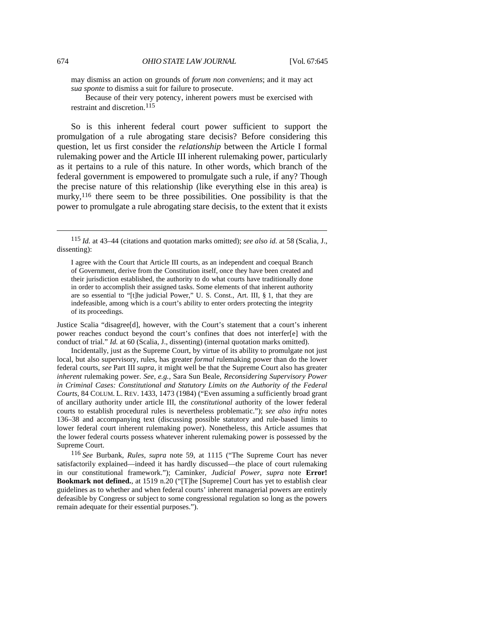may dismiss an action on grounds of *forum non conveniens*; and it may act *sua sponte* to dismiss a suit for failure to prosecute.

Because of their very potency, inherent powers must be exercised with restraint and discretion.<sup>115</sup>

So is this inherent federal court power sufficient to support the promulgation of a rule abrogating stare decisis? Before considering this question, let us first consider the *relationship* between the Article I formal rulemaking power and the Article III inherent rulemaking power, particularly as it pertains to a rule of this nature. In other words, which branch of the federal government is empowered to promulgate such a rule, if any? Though the precise nature of this relationship (like everything else in this area) is murky,<sup>116</sup> there seem to be three possibilities. One possibility is that the power to promulgate a rule abrogating stare decisis, to the extent that it exists

Justice Scalia "disagree[d], however, with the Court's statement that a court's inherent power reaches conduct beyond the court's confines that does not interfer[e] with the conduct of trial." *Id.* at 60 (Scalia, J., dissenting) (internal quotation marks omitted).

Incidentally, just as the Supreme Court, by virtue of its ability to promulgate not just local, but also supervisory, rules, has greater *formal* rulemaking power than do the lower federal courts, *see* Part III *supra*, it might well be that the Supreme Court also has greater *inherent* rulemaking power. *See, e.g.*, Sara Sun Beale, *Reconsidering Supervisory Power in Criminal Cases: Constitutional and Statutory Limits on the Authority of the Federal Courts*, 84 COLUM. L. REV. 1433, 1473 (1984) ("Even assuming a sufficiently broad grant of ancillary authority under article III, the *constitutional* authority of the lower federal courts to establish procedural rules is nevertheless problematic."); *see also infra* notes 136–38 and accompanying text (discussing possible statutory and rule-based limits to lower federal court inherent rulemaking power). Nonetheless, this Article assumes that the lower federal courts possess whatever inherent rulemaking power is possessed by the Supreme Court.

116 *See* Burbank, *Rules*, *supra* note 59, at 1115 ("The Supreme Court has never satisfactorily explained—indeed it has hardly discussed—the place of court rulemaking in our constitutional framework."); Caminker, *Judicial Power*, *supra* note **Error! Bookmark not defined.**, at 1519 n.20 ("[T]he [Supreme] Court has yet to establish clear guidelines as to whether and when federal courts' inherent managerial powers are entirely defeasible by Congress or subject to some congressional regulation so long as the powers remain adequate for their essential purposes.").

 <sup>115</sup> *Id.* at 43–44 (citations and quotation marks omitted); *see also id.* at 58 (Scalia, J., dissenting):

I agree with the Court that Article III courts, as an independent and coequal Branch of Government, derive from the Constitution itself, once they have been created and their jurisdiction established, the authority to do what courts have traditionally done in order to accomplish their assigned tasks. Some elements of that inherent authority are so essential to "[t]he judicial Power," U. S. Const., Art. III, § 1, that they are indefeasible, among which is a court's ability to enter orders protecting the integrity of its proceedings.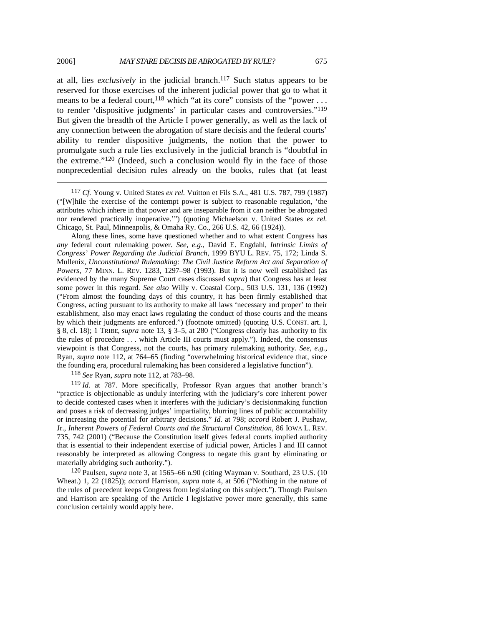at all, lies *exclusively* in the judicial branch.117 Such status appears to be reserved for those exercises of the inherent judicial power that go to what it means to be a federal court,<sup>118</sup> which "at its core" consists of the "power ... to render 'dispositive judgments' in particular cases and controversies."119 But given the breadth of the Article I power generally, as well as the lack of any connection between the abrogation of stare decisis and the federal courts' ability to render dispositive judgments, the notion that the power to promulgate such a rule lies exclusively in the judicial branch is "doubtful in the extreme."120 (Indeed, such a conclusion would fly in the face of those nonprecedential decision rules already on the books, rules that (at least

Along these lines, some have questioned whether and to what extent Congress has *any* federal court rulemaking power. *See, e.g.*, David E. Engdahl, *Intrinsic Limits of Congress' Power Regarding the Judicial Branch*, 1999 BYU L. REV. 75, 172; Linda S. Mullenix, *Unconstitutional Rulemaking: The Civil Justice Reform Act and Separation of Powers*, 77 MINN. L. REV. 1283, 1297–98 (1993). But it is now well established (as evidenced by the many Supreme Court cases discussed *supra*) that Congress has at least some power in this regard. *See also* Willy v. Coastal Corp., 503 U.S. 131, 136 (1992) ("From almost the founding days of this country, it has been firmly established that Congress, acting pursuant to its authority to make all laws 'necessary and proper' to their establishment, also may enact laws regulating the conduct of those courts and the means by which their judgments are enforced.") (footnote omitted) (quoting U.S. CONST. art. I, § 8, cl. 18); 1 TRIBE, *supra* note 13, § 3–5, at 280 ("Congress clearly has authority to fix the rules of procedure . . . which Article III courts must apply."). Indeed, the consensus viewpoint is that Congress, not the courts, has primary rulemaking authority. *See, e.g.*, Ryan, *supra* note 112, at 764–65 (finding "overwhelming historical evidence that, since the founding era, procedural rulemaking has been considered a legislative function").

118 *See* Ryan, *supra* note 112, at 783–98.

119 *Id.* at 787. More specifically, Professor Ryan argues that another branch's "practice is objectionable as unduly interfering with the judiciary's core inherent power to decide contested cases when it interferes with the judiciary's decisionmaking function and poses a risk of decreasing judges' impartiality, blurring lines of public accountability or increasing the potential for arbitrary decisions." *Id.* at 798; *accord* Robert J. Pushaw, Jr., *Inherent Powers of Federal Courts and the Structural Constitution*, 86 IOWA L. REV. 735, 742 (2001) ("Because the Constitution itself gives federal courts implied authority that is essential to their independent exercise of judicial power, Articles I and III cannot reasonably be interpreted as allowing Congress to negate this grant by eliminating or materially abridging such authority.").

120 Paulsen, *supra* note 3, at 1565–66 n.90 (citing Wayman v. Southard, 23 U.S. (10 Wheat.) 1, 22 (1825)); *accord* Harrison, *supra* note 4, at 506 ("Nothing in the nature of the rules of precedent keeps Congress from legislating on this subject."). Though Paulsen and Harrison are speaking of the Article I legislative power more generally, this same conclusion certainly would apply here.

 <sup>117</sup> *Cf.* Young v. United States *ex rel.* Vuitton et Fils S.A., 481 U.S. 787, 799 (1987) ("[W]hile the exercise of the contempt power is subject to reasonable regulation, 'the attributes which inhere in that power and are inseparable from it can neither be abrogated nor rendered practically inoperative.'") (quoting Michaelson v. United States *ex rel.* Chicago, St. Paul, Minneapolis, & Omaha Ry. Co., 266 U.S. 42, 66 (1924)).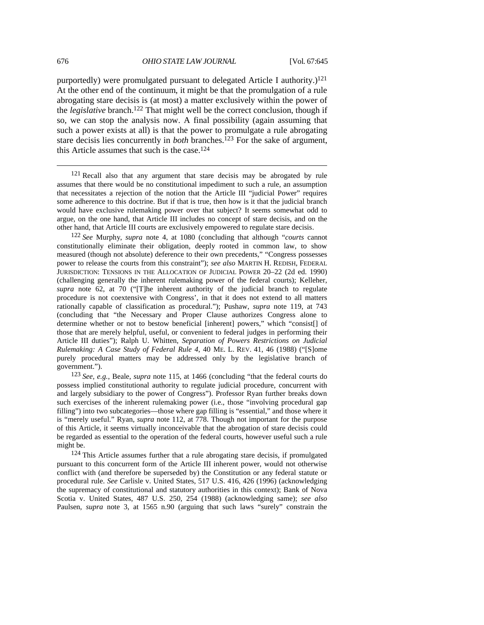purportedly) were promulgated pursuant to delegated Article I authority.)<sup>121</sup> At the other end of the continuum, it might be that the promulgation of a rule abrogating stare decisis is (at most) a matter exclusively within the power of the *legislative* branch.122 That might well be the correct conclusion, though if so, we can stop the analysis now. A final possibility (again assuming that such a power exists at all) is that the power to promulgate a rule abrogating stare decisis lies concurrently in *both* branches.123 For the sake of argument, this Article assumes that such is the case. $124$ 

 $121$  Recall also that any argument that stare decisis may be abrogated by rule assumes that there would be no constitutional impediment to such a rule, an assumption that necessitates a rejection of the notion that the Article III "judicial Power" requires some adherence to this doctrine. But if that is true, then how is it that the judicial branch would have exclusive rulemaking power over that subject? It seems somewhat odd to argue, on the one hand, that Article III includes no concept of stare decisis, and on the other hand, that Article III courts are exclusively empowered to regulate stare decisis.

122 *See* Murphy, *supra* note 4, at 1080 (concluding that although "*courts* cannot constitutionally eliminate their obligation, deeply rooted in common law, to show measured (though not absolute) deference to their own precedents," "Congress possesses power to release the courts from this constraint"); *see also* MARTIN H. REDISH, FEDERAL JURISDICTION: TENSIONS IN THE ALLOCATION OF JUDICIAL POWER 20–22 (2d ed. 1990) (challenging generally the inherent rulemaking power of the federal courts); Kelleher, *supra* note 62, at 70 ("[T]he inherent authority of the judicial branch to regulate procedure is not coextensive with Congress', in that it does not extend to all matters rationally capable of classification as procedural."); Pushaw, *supra* note 119, at 743 (concluding that "the Necessary and Proper Clause authorizes Congress alone to determine whether or not to bestow beneficial [inherent] powers," which "consist[] of those that are merely helpful, useful, or convenient to federal judges in performing their Article III duties"); Ralph U. Whitten, *Separation of Powers Restrictions on Judicial Rulemaking: A Case Study of Federal Rule 4*, 40 ME. L. REV. 41, 46 (1988) ("[S]ome purely procedural matters may be addressed only by the legislative branch of government.").

123 *See, e.g.*, Beale, *supra* note 115, at 1466 (concluding "that the federal courts do possess implied constitutional authority to regulate judicial procedure, concurrent with and largely subsidiary to the power of Congress"). Professor Ryan further breaks down such exercises of the inherent rulemaking power (i.e., those "involving procedural gap filling") into two subcategories—those where gap filling is "essential," and those where it is "merely useful." Ryan, *supra* note 112, at 778. Though not important for the purpose of this Article, it seems virtually inconceivable that the abrogation of stare decisis could be regarded as essential to the operation of the federal courts, however useful such a rule might be.

124 This Article assumes further that a rule abrogating stare decisis, if promulgated pursuant to this concurrent form of the Article III inherent power, would not otherwise conflict with (and therefore be superseded by) the Constitution or any federal statute or procedural rule. *See* Carlisle v. United States, 517 U.S. 416, 426 (1996) (acknowledging the supremacy of constitutional and statutory authorities in this context); Bank of Nova Scotia v. United States, 487 U.S. 250, 254 (1988) (acknowledging same); *see also* Paulsen, *supra* note 3, at 1565 n.90 (arguing that such laws "surely" constrain the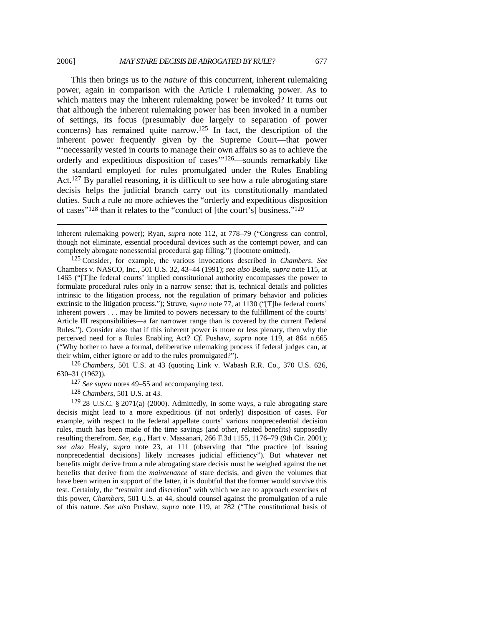#### 2006] *MAY STARE DECISIS BE ABROGATED BY RULE?* 677

This then brings us to the *nature* of this concurrent, inherent rulemaking power, again in comparison with the Article I rulemaking power. As to which matters may the inherent rulemaking power be invoked? It turns out that although the inherent rulemaking power has been invoked in a number of settings, its focus (presumably due largely to separation of power concerns) has remained quite narrow.125 In fact, the description of the inherent power frequently given by the Supreme Court—that power "'necessarily vested in courts to manage their own affairs so as to achieve the orderly and expeditious disposition of cases'"126—sounds remarkably like the standard employed for rules promulgated under the Rules Enabling Act.<sup>127</sup> By parallel reasoning, it is difficult to see how a rule abrogating stare decisis helps the judicial branch carry out its constitutionally mandated duties. Such a rule no more achieves the "orderly and expeditious disposition of cases"128 than it relates to the "conduct of [the court's] business."129

125 Consider, for example, the various invocations described in *Chambers*. *See*  Chambers v. NASCO, Inc., 501 U.S. 32, 43–44 (1991); *see also* Beale, *supra* note 115, at 1465 ("[T]he federal courts' implied constitutional authority encompasses the power to formulate procedural rules only in a narrow sense: that is, technical details and policies intrinsic to the litigation process, not the regulation of primary behavior and policies extrinsic to the litigation process."); Struve, *supra* note 77, at 1130 ("[T]he federal courts' inherent powers . . . may be limited to powers necessary to the fulfillment of the courts' Article III responsibilities—a far narrower range than is covered by the current Federal Rules."). Consider also that if this inherent power is more or less plenary, then why the perceived need for a Rules Enabling Act? *Cf.* Pushaw, *supra* note 119, at 864 n.665 ("Why bother to have a formal, deliberative rulemaking process if federal judges can, at their whim, either ignore or add to the rules promulgated?").

126 *Chambers*, 501 U.S. at 43 (quoting Link v. Wabash R.R. Co., 370 U.S. 626, 630–31 (1962)).

127 *See supra* notes 49–55 and accompanying text.

128 *Chambers*, 501 U.S. at 43.

 $\overline{a}$ 

 $129$  28 U.S.C. § 2071(a) (2000). Admittedly, in some ways, a rule abrogating stare decisis might lead to a more expeditious (if not orderly) disposition of cases. For example, with respect to the federal appellate courts' various nonprecedential decision rules, much has been made of the time savings (and other, related benefits) supposedly resulting therefrom. *See, e.g.*, Hart v. Massanari, 266 F.3d 1155, 1176–79 (9th Cir. 2001); *see also* Healy, *supra* note 23, at 111 (observing that "the practice [of issuing nonprecedential decisions] likely increases judicial efficiency"). But whatever net benefits might derive from a rule abrogating stare decisis must be weighed against the net benefits that derive from the *maintenance* of stare decisis, and given the volumes that have been written in support of the latter, it is doubtful that the former would survive this test. Certainly, the "restraint and discretion" with which we are to approach exercises of this power, *Chambers*, 501 U.S. at 44, should counsel against the promulgation of a rule of this nature. *See also* Pushaw, *supra* note 119, at 782 ("The constitutional basis of

inherent rulemaking power); Ryan, *supra* note 112, at 778–79 ("Congress can control, though not eliminate, essential procedural devices such as the contempt power, and can completely abrogate nonessential procedural gap filling.") (footnote omitted).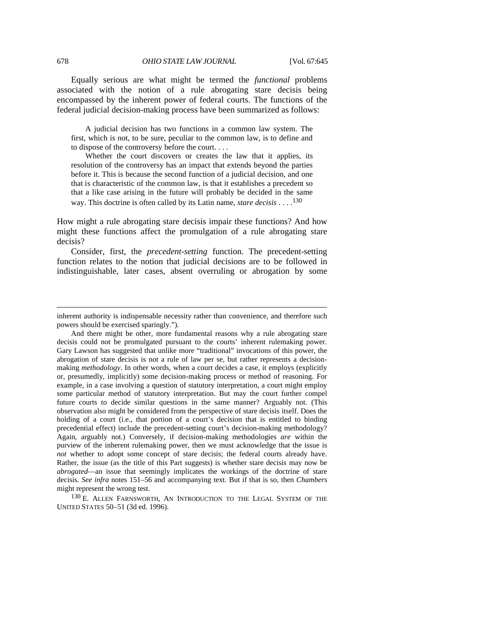Equally serious are what might be termed the *functional* problems associated with the notion of a rule abrogating stare decisis being encompassed by the inherent power of federal courts. The functions of the federal judicial decision-making process have been summarized as follows:

A judicial decision has two functions in a common law system. The first, which is not, to be sure, peculiar to the common law, is to define and to dispose of the controversy before the court. . . .

Whether the court discovers or creates the law that it applies, its resolution of the controversy has an impact that extends beyond the parties before it. This is because the second function of a judicial decision, and one that is characteristic of the common law, is that it establishes a precedent so that a like case arising in the future will probably be decided in the same way. This doctrine is often called by its Latin name, *stare decisis* . . . .130

How might a rule abrogating stare decisis impair these functions? And how might these functions affect the promulgation of a rule abrogating stare decisis?

Consider, first, the *precedent-setting* function. The precedent-setting function relates to the notion that judicial decisions are to be followed in indistinguishable, later cases, absent overruling or abrogation by some

inherent authority is indispensable necessity rather than convenience, and therefore such powers should be exercised sparingly.").

And there might be other, more fundamental reasons why a rule abrogating stare decisis could not be promulgated pursuant to the courts' inherent rulemaking power. Gary Lawson has suggested that unlike more "traditional" invocations of this power, the abrogation of stare decisis is not a rule of law per se, but rather represents a decisionmaking *methodology*. In other words, when a court decides a case, it employs (explicitly or, presumedly, implicitly) some decision-making process or method of reasoning. For example, in a case involving a question of statutory interpretation, a court might employ some particular method of statutory interpretation. But may the court further compel future courts to decide similar questions in the same manner? Arguably not. (This observation also might be considered from the perspective of stare decisis itself. Does the holding of a court (i.e., that portion of a court's decision that is entitled to binding precedential effect) include the precedent-setting court's decision-making methodology? Again, arguably not.) Conversely, if decision-making methodologies *are* within the purview of the inherent rulemaking power, then we must acknowledge that the issue is *not* whether to adopt some concept of stare decisis; the federal courts already have. Rather, the issue (as the title of this Part suggests) is whether stare decisis may now be *abrogated*—an issue that seemingly implicates the workings of the doctrine of stare decisis. *See infra* notes 151–56 and accompanying text. But if that is so, then *Chambers* might represent the wrong test.

<sup>130</sup> E. ALLEN FARNSWORTH, AN INTRODUCTION TO THE LEGAL SYSTEM OF THE UNITED STATES 50–51 (3d ed. 1996).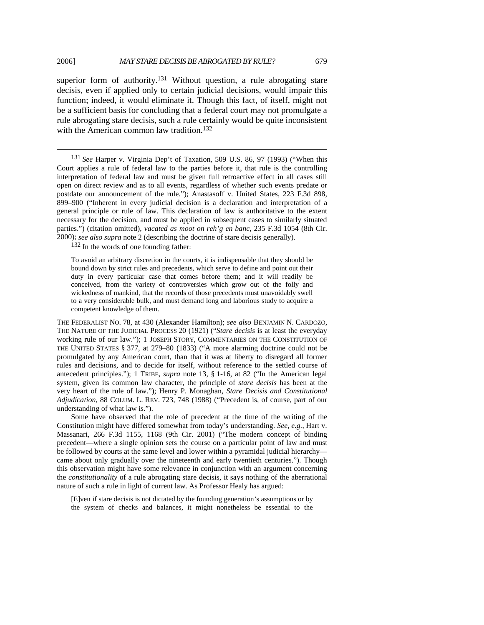superior form of authority.<sup>131</sup> Without question, a rule abrogating stare decisis, even if applied only to certain judicial decisions, would impair this function; indeed, it would eliminate it. Though this fact, of itself, might not be a sufficient basis for concluding that a federal court may not promulgate a rule abrogating stare decisis, such a rule certainly would be quite inconsistent with the American common law tradition.<sup>132</sup>

 131 *See* Harper v. Virginia Dep't of Taxation, 509 U.S. 86, 97 (1993) ("When this Court applies a rule of federal law to the parties before it, that rule is the controlling interpretation of federal law and must be given full retroactive effect in all cases still open on direct review and as to all events, regardless of whether such events predate or postdate our announcement of the rule."); Anastasoff v. United States, 223 F.3d 898, 899–900 ("Inherent in every judicial decision is a declaration and interpretation of a general principle or rule of law. This declaration of law is authoritative to the extent necessary for the decision, and must be applied in subsequent cases to similarly situated parties.") (citation omitted), *vacated as moot on reh'g en banc*, 235 F.3d 1054 (8th Cir. 2000); *see also supra* note 2 (describing the doctrine of stare decisis generally).

132 In the words of one founding father:

To avoid an arbitrary discretion in the courts, it is indispensable that they should be bound down by strict rules and precedents, which serve to define and point out their duty in every particular case that comes before them; and it will readily be conceived, from the variety of controversies which grow out of the folly and wickedness of mankind, that the records of those precedents must unavoidably swell to a very considerable bulk, and must demand long and laborious study to acquire a competent knowledge of them.

THE FEDERALIST NO. 78, at 430 (Alexander Hamilton); *see also* BENJAMIN N. CARDOZO, THE NATURE OF THE JUDICIAL PROCESS 20 (1921) ("*Stare decisis* is at least the everyday working rule of our law."); 1 JOSEPH STORY, COMMENTARIES ON THE CONSTITUTION OF THE UNITED STATES § 377, at 279–80 (1833) ("A more alarming doctrine could not be promulgated by any American court, than that it was at liberty to disregard all former rules and decisions, and to decide for itself, without reference to the settled course of antecedent principles."); 1 TRIBE, *supra* note 13, § 1-16, at 82 ("In the American legal system, given its common law character, the principle of *stare decisis* has been at the very heart of the rule of law."); Henry P. Monaghan, *Stare Decisis and Constitutional Adjudication*, 88 COLUM. L. REV. 723, 748 (1988) ("Precedent is, of course, part of our understanding of what law is.").

Some have observed that the role of precedent at the time of the writing of the Constitution might have differed somewhat from today's understanding. *See, e.g.*, Hart v. Massanari, 266 F.3d 1155, 1168 (9th Cir. 2001) ("The modern concept of binding precedent—where a single opinion sets the course on a particular point of law and must be followed by courts at the same level and lower within a pyramidal judicial hierarchy came about only gradually over the nineteenth and early twentieth centuries."). Though this observation might have some relevance in conjunction with an argument concerning the *constitutionality* of a rule abrogating stare decisis, it says nothing of the aberrational nature of such a rule in light of current law. As Professor Healy has argued:

[E]ven if stare decisis is not dictated by the founding generation's assumptions or by the system of checks and balances, it might nonetheless be essential to the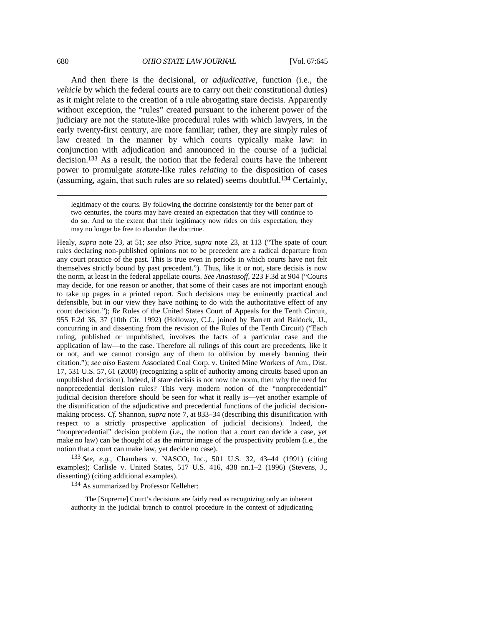And then there is the decisional, or *adjudicative*, function (i.e., the *vehicle* by which the federal courts are to carry out their constitutional duties) as it might relate to the creation of a rule abrogating stare decisis. Apparently without exception, the "rules" created pursuant to the inherent power of the judiciary are not the statute-like procedural rules with which lawyers, in the early twenty-first century, are more familiar; rather, they are simply rules of law created in the manner by which courts typically make law: in conjunction with adjudication and announced in the course of a judicial decision.133 As a result, the notion that the federal courts have the inherent power to promulgate *statute*-like rules *relating* to the disposition of cases (assuming, again, that such rules are so related) seems doubtful.134 Certainly,

Healy, *supra* note 23, at 51; *see also* Price, *supra* note 23, at 113 ("The spate of court rules declaring non-published opinions not to be precedent are a radical departure from any court practice of the past. This is true even in periods in which courts have not felt themselves strictly bound by past precedent."). Thus, like it or not, stare decisis is now the norm, at least in the federal appellate courts. *See Anastasoff*, 223 F.3d at 904 ("Courts may decide, for one reason or another, that some of their cases are not important enough to take up pages in a printed report. Such decisions may be eminently practical and defensible, but in our view they have nothing to do with the authoritative effect of any court decision."); *Re* Rules of the United States Court of Appeals for the Tenth Circuit, 955 F.2d 36, 37 (10th Cir. 1992) (Holloway, C.J., joined by Barrett and Baldock, JJ., concurring in and dissenting from the revision of the Rules of the Tenth Circuit) ("Each ruling, published or unpublished, involves the facts of a particular case and the application of law—to the case. Therefore all rulings of this court are precedents, like it or not, and we cannot consign any of them to oblivion by merely banning their citation."); *see also* Eastern Associated Coal Corp. v. United Mine Workers of Am., Dist. 17, 531 U.S. 57, 61 (2000) (recognizing a split of authority among circuits based upon an unpublished decision). Indeed, if stare decisis is not now the norm, then why the need for nonprecedential decision rules? This very modern notion of the "nonprecedential" judicial decision therefore should be seen for what it really is—yet another example of the disunification of the adjudicative and precedential functions of the judicial decisionmaking process. *Cf.* Shannon, *supra* note 7, at 833–34 (describing this disunification with respect to a strictly prospective application of judicial decisions). Indeed, the "nonprecedential" decision problem (i.e., the notion that a court can decide a case, yet make no law) can be thought of as the mirror image of the prospectivity problem (i.e., the notion that a court can make law, yet decide no case).

133 *See, e.g.*, Chambers v. NASCO, Inc., 501 U.S. 32, 43–44 (1991) (citing examples); Carlisle v. United States, 517 U.S. 416, 438 nn.1–2 (1996) (Stevens, J., dissenting) (citing additional examples).

134 As summarized by Professor Kelleher:

The [Supreme] Court's decisions are fairly read as recognizing only an inherent authority in the judicial branch to control procedure in the context of adjudicating

legitimacy of the courts. By following the doctrine consistently for the better part of two centuries, the courts may have created an expectation that they will continue to do so. And to the extent that their legitimacy now rides on this expectation, they may no longer be free to abandon the doctrine.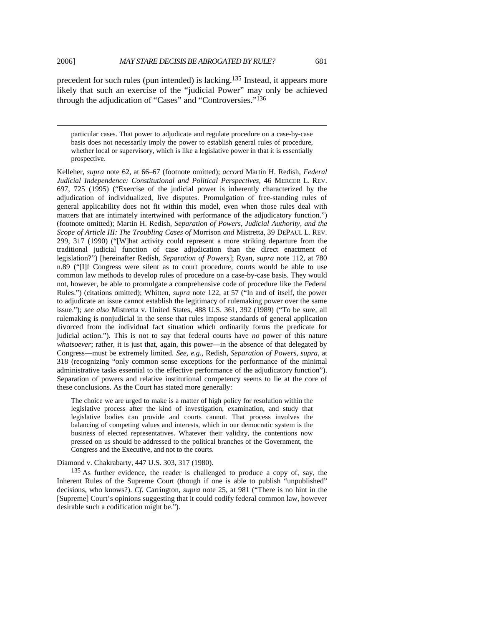precedent for such rules (pun intended) is lacking.135 Instead, it appears more likely that such an exercise of the "judicial Power" may only be achieved through the adjudication of "Cases" and "Controversies."136

 particular cases. That power to adjudicate and regulate procedure on a case-by-case basis does not necessarily imply the power to establish general rules of procedure, whether local or supervisory, which is like a legislative power in that it is essentially prospective.

Kelleher, *supra* note 62, at 66–67 (footnote omitted); *accord* Martin H. Redish, *Federal Judicial Independence: Constitutional and Political Perspectives*, 46 MERCER L. REV. 697, 725 (1995) ("Exercise of the judicial power is inherently characterized by the adjudication of individualized, live disputes. Promulgation of free-standing rules of general applicability does not fit within this model, even when those rules deal with matters that are intimately intertwined with performance of the adjudicatory function.") (footnote omitted); Martin H. Redish, *Separation of Powers, Judicial Authority, and the Scope of Article III: The Troubling Cases of* Morrison *and* Mistretta, 39 DEPAUL L. REV. 299, 317 (1990) ("[W]hat activity could represent a more striking departure from the traditional judicial function of case adjudication than the direct enactment of legislation?") [hereinafter Redish, *Separation of Powers*]; Ryan, *supra* note 112, at 780 n.89 ("[I]f Congress were silent as to court procedure, courts would be able to use common law methods to develop rules of procedure on a case-by-case basis. They would not, however, be able to promulgate a comprehensive code of procedure like the Federal Rules.") (citations omitted); Whitten, *supra* note 122, at 57 ("In and of itself, the power to adjudicate an issue cannot establish the legitimacy of rulemaking power over the same issue."); *see also* Mistretta v. United States, 488 U.S. 361, 392 (1989) ("To be sure, all rulemaking is nonjudicial in the sense that rules impose standards of general application divorced from the individual fact situation which ordinarily forms the predicate for judicial action."). This is not to say that federal courts have *no* power of this nature *whatsoever*; rather, it is just that, again, this power—in the absence of that delegated by Congress—must be extremely limited. *See, e.g.*, Redish, *Separation of Powers*, *supra*, at 318 (recognizing "only common sense exceptions for the performance of the minimal administrative tasks essential to the effective performance of the adjudicatory function"). Separation of powers and relative institutional competency seems to lie at the core of these conclusions. As the Court has stated more generally:

The choice we are urged to make is a matter of high policy for resolution within the legislative process after the kind of investigation, examination, and study that legislative bodies can provide and courts cannot. That process involves the balancing of competing values and interests, which in our democratic system is the business of elected representatives. Whatever their validity, the contentions now pressed on us should be addressed to the political branches of the Government, the Congress and the Executive, and not to the courts.

#### Diamond v. Chakrabarty, 447 U.S. 303, 317 (1980).

 $135$  As further evidence, the reader is challenged to produce a copy of, say, the Inherent Rules of the Supreme Court (though if one is able to publish "unpublished" decisions, who knows?). *Cf.* Carrington, *supra* note 25, at 981 ("There is no hint in the [Supreme] Court's opinions suggesting that it could codify federal common law, however desirable such a codification might be.").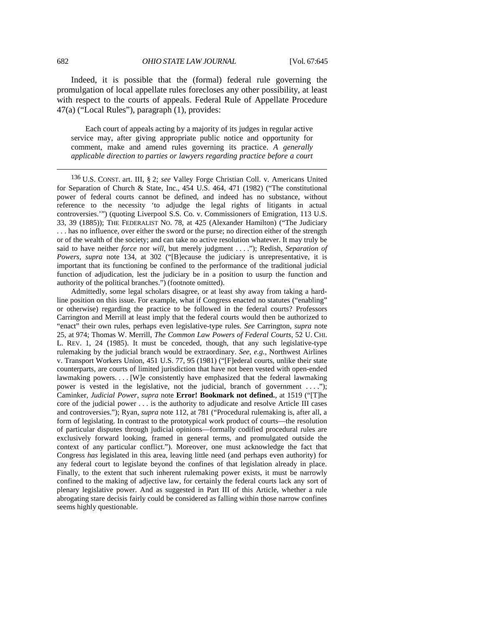Indeed, it is possible that the (formal) federal rule governing the promulgation of local appellate rules forecloses any other possibility, at least with respect to the courts of appeals. Federal Rule of Appellate Procedure 47(a) ("Local Rules"), paragraph (1), provides:

Each court of appeals acting by a majority of its judges in regular active service may, after giving appropriate public notice and opportunity for comment, make and amend rules governing its practice. *A generally applicable direction to parties or lawyers regarding practice before a court* 

 136 U.S. CONST. art. III, § 2; *see* Valley Forge Christian Coll. v. Americans United for Separation of Church & State, Inc., 454 U.S. 464, 471 (1982) ("The constitutional power of federal courts cannot be defined, and indeed has no substance, without reference to the necessity 'to adjudge the legal rights of litigants in actual controversies.'") (quoting Liverpool S.S. Co. v. Commissioners of Emigration, 113 U.S. 33, 39 (1885)); THE FEDERALIST NO. 78, at 425 (Alexander Hamilton) ("The Judiciary . . . has no influence, over either the sword or the purse; no direction either of the strength or of the wealth of the society; and can take no active resolution whatever. It may truly be said to have neither *force* nor *will*, but merely judgment . . . ."); Redish, *Separation of Powers*, *supra* note 134, at 302 ("[B]ecause the judiciary is unrepresentative, it is important that its functioning be confined to the performance of the traditional judicial function of adjudication, lest the judiciary be in a position to usurp the function and authority of the political branches.") (footnote omitted).

Admittedly, some legal scholars disagree, or at least shy away from taking a hardline position on this issue. For example, what if Congress enacted no statutes ("enabling" or otherwise) regarding the practice to be followed in the federal courts? Professors Carrington and Merrill at least imply that the federal courts would then be authorized to "enact" their own rules, perhaps even legislative-type rules. *See* Carrington, *supra* note 25, at 974; Thomas W. Merrill, *The Common Law Powers of Federal Courts*, 52 U. CHI. L. REV. 1, 24 (1985). It must be conceded, though, that any such legislative-type rulemaking by the judicial branch would be extraordinary. *See, e.g.*, Northwest Airlines v. Transport Workers Union, 451 U.S. 77, 95 (1981) ("[F]ederal courts, unlike their state counterparts, are courts of limited jurisdiction that have not been vested with open-ended lawmaking powers.... [W]e consistently have emphasized that the federal lawmaking power is vested in the legislative, not the judicial, branch of government ...."); Caminker, *Judicial Power*, *supra* note **Error! Bookmark not defined.**, at 1519 ("[T]he core of the judicial power . . . is the authority to adjudicate and resolve Article III cases and controversies."); Ryan, *supra* note 112, at 781 ("Procedural rulemaking is, after all, a form of legislating. In contrast to the prototypical work product of courts—the resolution of particular disputes through judicial opinions—formally codified procedural rules are exclusively forward looking, framed in general terms, and promulgated outside the context of any particular conflict."). Moreover, one must acknowledge the fact that Congress *has* legislated in this area, leaving little need (and perhaps even authority) for any federal court to legislate beyond the confines of that legislation already in place. Finally, to the extent that such inherent rulemaking power exists, it must be narrowly confined to the making of adjective law, for certainly the federal courts lack any sort of plenary legislative power. And as suggested in Part III of this Article, whether a rule abrogating stare decisis fairly could be considered as falling within those narrow confines seems highly questionable.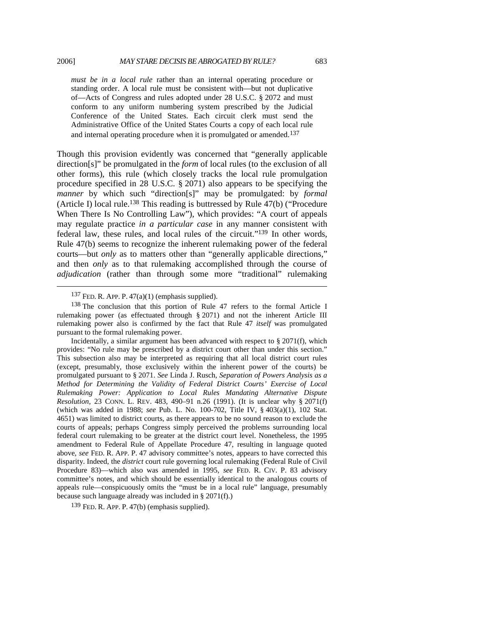*must be in a local rule* rather than an internal operating procedure or standing order. A local rule must be consistent with—but not duplicative of—Acts of Congress and rules adopted under 28 U.S.C. § 2072 and must conform to any uniform numbering system prescribed by the Judicial Conference of the United States. Each circuit clerk must send the Administrative Office of the United States Courts a copy of each local rule and internal operating procedure when it is promulgated or amended.<sup>137</sup>

Though this provision evidently was concerned that "generally applicable direction[s]" be promulgated in the *form* of local rules (to the exclusion of all other forms), this rule (which closely tracks the local rule promulgation procedure specified in 28 U.S.C. § 2071) also appears to be specifying the *manner* by which such "direction[s]" may be promulgated: by *formal* (Article I) local rule.138 This reading is buttressed by Rule 47(b) ("Procedure When There Is No Controlling Law"), which provides: "A court of appeals may regulate practice *in a particular case* in any manner consistent with federal law, these rules, and local rules of the circuit."139 In other words, Rule 47(b) seems to recognize the inherent rulemaking power of the federal courts—but *only* as to matters other than "generally applicable directions," and then *only* as to that rulemaking accomplished through the course of *adjudication* (rather than through some more "traditional" rulemaking

 $137$  FED. R. APP. P.  $47(a)(1)$  (emphasis supplied).

 $138$  The conclusion that this portion of Rule 47 refers to the formal Article I rulemaking power (as effectuated through § 2071) and not the inherent Article III rulemaking power also is confirmed by the fact that Rule 47 *itself* was promulgated pursuant to the formal rulemaking power.

Incidentally, a similar argument has been advanced with respect to  $\S 2071(f)$ , which provides: "No rule may be prescribed by a district court other than under this section." This subsection also may be interpreted as requiring that all local district court rules (except, presumably, those exclusively within the inherent power of the courts) be promulgated pursuant to § 2071. *See* Linda J. Rusch, *Separation of Powers Analysis as a Method for Determining the Validity of Federal District Courts' Exercise of Local Rulemaking Power: Application to Local Rules Mandating Alternative Dispute Resolution*, 23 CONN. L. REV. 483, 490–91 n.26 (1991). (It is unclear why § 2071(f) (which was added in 1988; *see* Pub. L. No. 100-702, Title IV, § 403(a)(1), 102 Stat. 4651) was limited to district courts, as there appears to be no sound reason to exclude the courts of appeals; perhaps Congress simply perceived the problems surrounding local federal court rulemaking to be greater at the district court level. Nonetheless, the 1995 amendment to Federal Rule of Appellate Procedure 47, resulting in language quoted above, *see* FED. R. APP. P. 47 advisory committee's notes, appears to have corrected this disparity. Indeed, the *district* court rule governing local rulemaking (Federal Rule of Civil Procedure 83)—which also was amended in 1995, *see* FED. R. CIV. P. 83 advisory committee's notes, and which should be essentially identical to the analogous courts of appeals rule—conspicuously omits the "must be in a local rule" language, presumably because such language already was included in § 2071(f).)

139 FED. R. APP. P. 47(b) (emphasis supplied).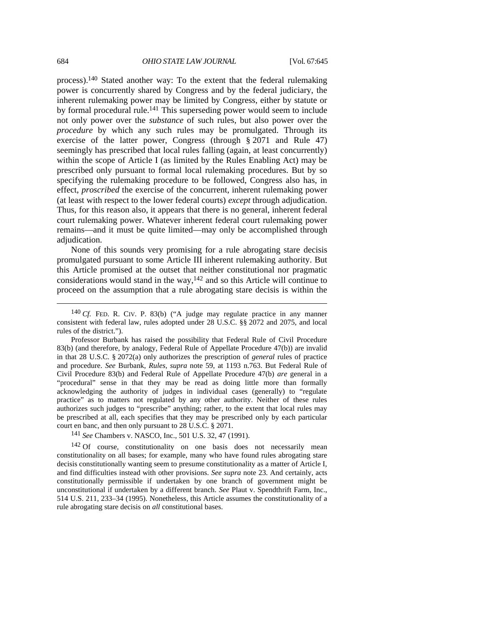process).140 Stated another way: To the extent that the federal rulemaking power is concurrently shared by Congress and by the federal judiciary, the inherent rulemaking power may be limited by Congress, either by statute or by formal procedural rule.141 This superseding power would seem to include not only power over the *substance* of such rules, but also power over the *procedure* by which any such rules may be promulgated. Through its exercise of the latter power, Congress (through § 2071 and Rule 47) seemingly has prescribed that local rules falling (again, at least concurrently) within the scope of Article I (as limited by the Rules Enabling Act) may be prescribed only pursuant to formal local rulemaking procedures. But by so specifying the rulemaking procedure to be followed, Congress also has, in effect, *proscribed* the exercise of the concurrent, inherent rulemaking power (at least with respect to the lower federal courts) *except* through adjudication. Thus, for this reason also, it appears that there is no general, inherent federal court rulemaking power. Whatever inherent federal court rulemaking power remains—and it must be quite limited—may only be accomplished through adjudication.

None of this sounds very promising for a rule abrogating stare decisis promulgated pursuant to some Article III inherent rulemaking authority. But this Article promised at the outset that neither constitutional nor pragmatic considerations would stand in the way,142 and so this Article will continue to proceed on the assumption that a rule abrogating stare decisis is within the

 <sup>140</sup> *Cf.* FED. R. CIV. P. 83(b) ("A judge may regulate practice in any manner consistent with federal law, rules adopted under 28 U.S.C. §§ 2072 and 2075, and local rules of the district.").

Professor Burbank has raised the possibility that Federal Rule of Civil Procedure 83(b) (and therefore, by analogy, Federal Rule of Appellate Procedure 47(b)) are invalid in that 28 U.S.C. § 2072(a) only authorizes the prescription of *general* rules of practice and procedure. *See* Burbank, *Rules*, *supra* note 59, at 1193 n.763. But Federal Rule of Civil Procedure 83(b) and Federal Rule of Appellate Procedure 47(b) *are* general in a "procedural" sense in that they may be read as doing little more than formally acknowledging the authority of judges in individual cases (generally) to "regulate practice" as to matters not regulated by any other authority. Neither of these rules authorizes such judges to "prescribe" anything; rather, to the extent that local rules may be prescribed at all, each specifies that they may be prescribed only by each particular court en banc, and then only pursuant to 28 U.S.C. § 2071.

<sup>141</sup> *See* Chambers v. NASCO, Inc., 501 U.S. 32, 47 (1991).

<sup>&</sup>lt;sup>142</sup> Of course, constitutionality on one basis does not necessarily mean constitutionality on all bases; for example, many who have found rules abrogating stare decisis constitutionally wanting seem to presume constitutionality as a matter of Article I, and find difficulties instead with other provisions. *See supra* note 23. And certainly, acts constitutionally permissible if undertaken by one branch of government might be unconstitutional if undertaken by a different branch. *See* Plaut v. Spendthrift Farm, Inc., 514 U.S. 211, 233–34 (1995). Nonetheless, this Article assumes the constitutionality of a rule abrogating stare decisis on *all* constitutional bases.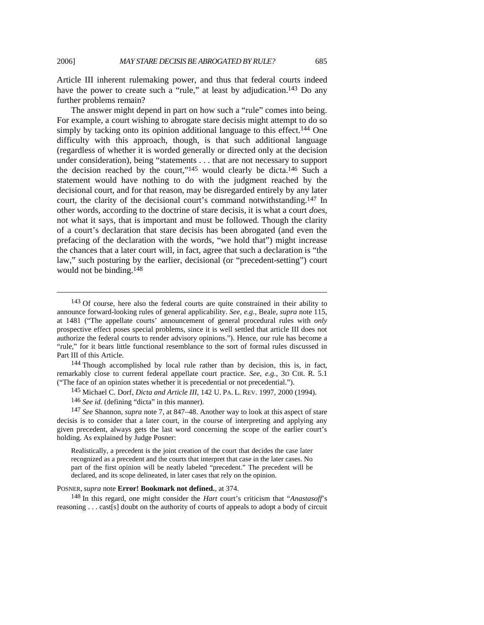Article III inherent rulemaking power, and thus that federal courts indeed have the power to create such a "rule," at least by adjudication.<sup>143</sup> Do any further problems remain?

The answer might depend in part on how such a "rule" comes into being. For example, a court wishing to abrogate stare decisis might attempt to do so simply by tacking onto its opinion additional language to this effect.<sup>144</sup> One difficulty with this approach, though, is that such additional language (regardless of whether it is worded generally or directed only at the decision under consideration), being "statements . . . that are not necessary to support the decision reached by the court,"145 would clearly be dicta.146 Such a statement would have nothing to do with the judgment reached by the decisional court, and for that reason, may be disregarded entirely by any later court, the clarity of the decisional court's command notwithstanding.147 In other words, according to the doctrine of stare decisis, it is what a court *does*, not what it says, that is important and must be followed. Though the clarity of a court's declaration that stare decisis has been abrogated (and even the prefacing of the declaration with the words, "we hold that") might increase the chances that a later court will, in fact, agree that such a declaration is "the law," such posturing by the earlier, decisional (or "precedent-setting") court would not be binding.148

144 Though accomplished by local rule rather than by decision, this is, in fact, remarkably close to current federal appellate court practice. *See, e.g.*, 3D CIR. R. 5.1 ("The face of an opinion states whether it is precedential or not precedential.").

146 *See id.* (defining "dicta" in this manner).

147 *See* Shannon, *supra* note 7, at 847–48. Another way to look at this aspect of stare decisis is to consider that a later court, in the course of interpreting and applying any given precedent, always gets the last word concerning the scope of the earlier court's holding. As explained by Judge Posner:

Realistically, a precedent is the joint creation of the court that decides the case later recognized as a precedent and the courts that interpret that case in the later cases. No part of the first opinion will be neatly labeled "precedent." The precedent will be declared, and its scope delineated, in later cases that rely on the opinion.

### POSNER, *supra* note **Error! Bookmark not defined.**, at 374.

148 In this regard, one might consider the *Hart* court's criticism that "*Anastasoff*'s reasoning . . . cast[s] doubt on the authority of courts of appeals to adopt a body of circuit

 <sup>143</sup> Of course, here also the federal courts are quite constrained in their ability to announce forward-looking rules of general applicability. *See, e.g.*, Beale, *supra* note 115, at 1481 ("The appellate courts' announcement of general procedural rules with *only*  prospective effect poses special problems, since it is well settled that article III does not authorize the federal courts to render advisory opinions."). Hence, our rule has become a "rule," for it bears little functional resemblance to the sort of formal rules discussed in Part III of this Article.

<sup>145</sup> Michael C. Dorf, *Dicta and Article III*, 142 U. PA. L. REV. 1997, 2000 (1994).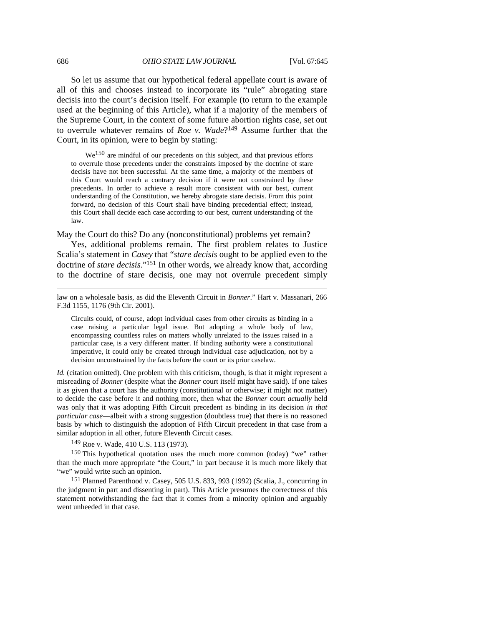So let us assume that our hypothetical federal appellate court is aware of all of this and chooses instead to incorporate its "rule" abrogating stare decisis into the court's decision itself. For example (to return to the example used at the beginning of this Article), what if a majority of the members of the Supreme Court, in the context of some future abortion rights case, set out to overrule whatever remains of *Roe v. Wade*?149 Assume further that the Court, in its opinion, were to begin by stating:

We<sup>150</sup> are mindful of our precedents on this subject, and that previous efforts to overrule those precedents under the constraints imposed by the doctrine of stare decisis have not been successful. At the same time, a majority of the members of this Court would reach a contrary decision if it were not constrained by these precedents. In order to achieve a result more consistent with our best, current understanding of the Constitution, we hereby abrogate stare decisis. From this point forward, no decision of this Court shall have binding precedential effect; instead, this Court shall decide each case according to our best, current understanding of the law.

May the Court do this? Do any (nonconstitutional) problems yet remain?

Yes, additional problems remain. The first problem relates to Justice Scalia's statement in *Casey* that "*stare decisis* ought to be applied even to the doctrine of *stare decisis*."151 In other words, we already know that, according to the doctrine of stare decisis, one may not overrule precedent simply

law on a wholesale basis, as did the Eleventh Circuit in *Bonner*." Hart v. Massanari, 266 F.3d 1155, 1176 (9th Cir. 2001).

Circuits could, of course, adopt individual cases from other circuits as binding in a case raising a particular legal issue. But adopting a whole body of law, encompassing countless rules on matters wholly unrelated to the issues raised in a particular case, is a very different matter. If binding authority were a constitutional imperative, it could only be created through individual case adjudication, not by a decision unconstrained by the facts before the court or its prior caselaw.

*Id.* (citation omitted). One problem with this criticism, though, is that it might represent a misreading of *Bonner* (despite what the *Bonner* court itself might have said). If one takes it as given that a court has the authority (constitutional or otherwise; it might not matter) to decide the case before it and nothing more, then what the *Bonner* court *actually* held was only that it was adopting Fifth Circuit precedent as binding in its decision *in that particular case*—albeit with a strong suggestion (doubtless true) that there is no reasoned basis by which to distinguish the adoption of Fifth Circuit precedent in that case from a similar adoption in all other, future Eleventh Circuit cases.

149 Roe v. Wade, 410 U.S. 113 (1973).

150 This hypothetical quotation uses the much more common (today) "we" rather than the much more appropriate "the Court," in part because it is much more likely that "we" would write such an opinion.

151 Planned Parenthood v. Casey, 505 U.S. 833, 993 (1992) (Scalia, J., concurring in the judgment in part and dissenting in part). This Article presumes the correctness of this statement notwithstanding the fact that it comes from a minority opinion and arguably went unheeded in that case.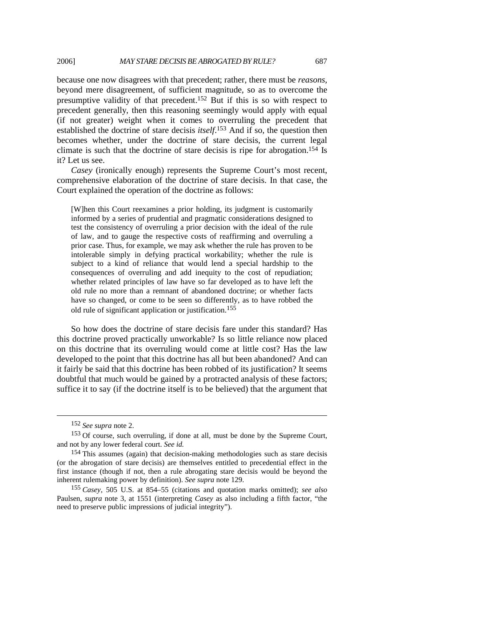because one now disagrees with that precedent; rather, there must be *reasons*, beyond mere disagreement, of sufficient magnitude, so as to overcome the presumptive validity of that precedent.152 But if this is so with respect to precedent generally, then this reasoning seemingly would apply with equal (if not greater) weight when it comes to overruling the precedent that established the doctrine of stare decisis *itself*. 153 And if so, the question then becomes whether, under the doctrine of stare decisis, the current legal climate is such that the doctrine of stare decisis is ripe for abrogation.154 Is it? Let us see.

*Casey* (ironically enough) represents the Supreme Court's most recent, comprehensive elaboration of the doctrine of stare decisis. In that case, the Court explained the operation of the doctrine as follows:

[W]hen this Court reexamines a prior holding, its judgment is customarily informed by a series of prudential and pragmatic considerations designed to test the consistency of overruling a prior decision with the ideal of the rule of law, and to gauge the respective costs of reaffirming and overruling a prior case. Thus, for example, we may ask whether the rule has proven to be intolerable simply in defying practical workability; whether the rule is subject to a kind of reliance that would lend a special hardship to the consequences of overruling and add inequity to the cost of repudiation; whether related principles of law have so far developed as to have left the old rule no more than a remnant of abandoned doctrine; or whether facts have so changed, or come to be seen so differently, as to have robbed the old rule of significant application or justification.155

So how does the doctrine of stare decisis fare under this standard? Has this doctrine proved practically unworkable? Is so little reliance now placed on this doctrine that its overruling would come at little cost? Has the law developed to the point that this doctrine has all but been abandoned? And can it fairly be said that this doctrine has been robbed of its justification? It seems doubtful that much would be gained by a protracted analysis of these factors; suffice it to say (if the doctrine itself is to be believed) that the argument that

 <sup>152</sup> *See supra* note 2.

<sup>153</sup> Of course, such overruling, if done at all, must be done by the Supreme Court, and not by any lower federal court. *See id.*

<sup>154</sup> This assumes (again) that decision-making methodologies such as stare decisis (or the abrogation of stare decisis) are themselves entitled to precedential effect in the first instance (though if not, then a rule abrogating stare decisis would be beyond the inherent rulemaking power by definition). *See supra* note 129.

<sup>155</sup> *Casey*, 505 U.S. at 854–55 (citations and quotation marks omitted); *see also* Paulsen, *supra* note 3, at 1551 (interpreting *Casey* as also including a fifth factor, "the need to preserve public impressions of judicial integrity").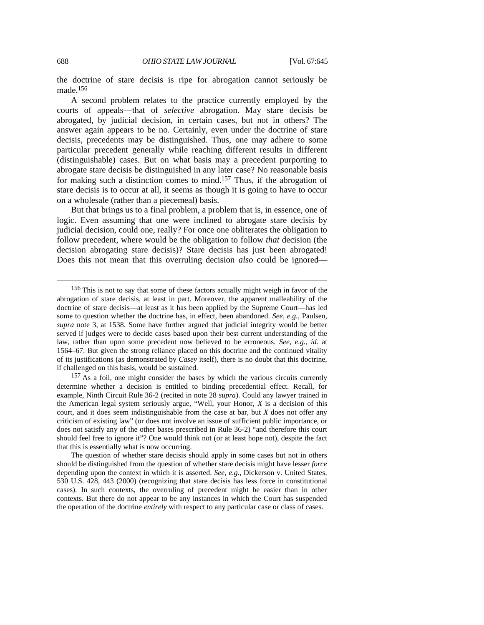the doctrine of stare decisis is ripe for abrogation cannot seriously be made.156

A second problem relates to the practice currently employed by the courts of appeals—that of *selective* abrogation. May stare decisis be abrogated, by judicial decision, in certain cases, but not in others? The answer again appears to be no. Certainly, even under the doctrine of stare decisis, precedents may be distinguished. Thus, one may adhere to some particular precedent generally while reaching different results in different (distinguishable) cases. But on what basis may a precedent purporting to abrogate stare decisis be distinguished in any later case? No reasonable basis for making such a distinction comes to mind.157 Thus, if the abrogation of stare decisis is to occur at all, it seems as though it is going to have to occur on a wholesale (rather than a piecemeal) basis.

But that brings us to a final problem, a problem that is, in essence, one of logic. Even assuming that one were inclined to abrogate stare decisis by judicial decision, could one, really? For once one obliterates the obligation to follow precedent, where would be the obligation to follow *that* decision (the decision abrogating stare decisis)? Stare decisis has just been abrogated! Does this not mean that this overruling decision *also* could be ignored—

157 As a foil, one might consider the bases by which the various circuits currently determine whether a decision is entitled to binding precedential effect. Recall, for example, Ninth Circuit Rule 36-2 (recited in note 28 *supra*). Could any lawyer trained in the American legal system seriously argue, "Well, your Honor, *X* is a decision of this court, and it does seem indistinguishable from the case at bar, but *X* does not offer any criticism of existing law" (or does not involve an issue of sufficient public importance, or does not satisfy any of the other bases prescribed in Rule 36-2) "and therefore this court should feel free to ignore it"? One would think not (or at least hope not), despite the fact that this is essentially what is now occurring.

The question of whether stare decisis should apply in some cases but not in others should be distinguished from the question of whether stare decisis might have lesser *force* depending upon the context in which it is asserted. *See, e.g.*, Dickerson v. United States, 530 U.S. 428, 443 (2000) (recognizing that stare decisis has less force in constitutional cases). In such contexts, the overruling of precedent might be easier than in other contexts. But there do not appear to be any instances in which the Court has suspended the operation of the doctrine *entirely* with respect to any particular case or class of cases.

<sup>&</sup>lt;sup>156</sup> This is not to say that some of these factors actually might weigh in favor of the abrogation of stare decisis, at least in part. Moreover, the apparent malleability of the doctrine of stare decisis—at least as it has been applied by the Supreme Court—has led some to question whether the doctrine has, in effect, been abandoned. *See, e.g.*, Paulsen, *supra* note 3, at 1538. Some have further argued that judicial integrity would be better served if judges were to decide cases based upon their best current understanding of the law, rather than upon some precedent now believed to be erroneous. *See, e.g.*, *id.* at 1564–67. But given the strong reliance placed on this doctrine and the continued vitality of its justifications (as demonstrated by *Casey* itself), there is no doubt that this doctrine, if challenged on this basis, would be sustained.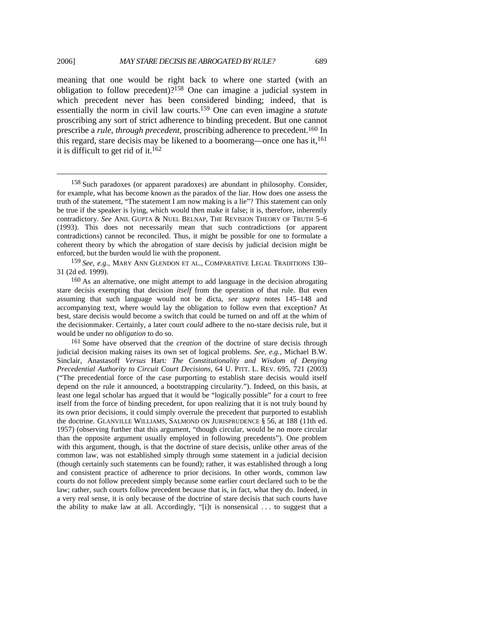meaning that one would be right back to where one started (with an obligation to follow precedent)?158 One can imagine a judicial system in which precedent never has been considered binding; indeed, that is essentially the norm in civil law courts.159 One can even imagine a *statute* proscribing any sort of strict adherence to binding precedent. But one cannot prescribe a *rule*, *through precedent*, proscribing adherence to precedent.160 In this regard, stare decisis may be likened to a boomerang—once one has it,<sup>161</sup> it is difficult to get rid of it.162

159 *See, e.g.*, MARY ANN GLENDON ET AL., COMPARATIVE LEGAL TRADITIONS 130– 31 (2d ed. 1999).

161 Some have observed that the *creation* of the doctrine of stare decisis through judicial decision making raises its own set of logical problems. *See, e.g.*, Michael B.W. Sinclair, Anastasoff *Versus* Hart*: The Constitutionality and Wisdom of Denying Precedential Authority to Circuit Court Decisions*, 64 U. PITT. L. REV. 695, 721 (2003) ("The precedential force of the case purporting to establish stare decisis would itself depend on the rule it announced, a bootstrapping circularity."). Indeed, on this basis, at least one legal scholar has argued that it would be "logically possible" for a court to free itself from the force of binding precedent, for upon realizing that it is not truly bound by its own prior decisions, it could simply overrule the precedent that purported to establish the doctrine. GLANVILLE WILLIAMS, SALMOND ON JURISPRUDENCE § 56, at 188 (11th ed. 1957) (observing further that this argument, "though circular, would be no more circular than the opposite argument usually employed in following precedents"). One problem with this argument, though, is that the doctrine of stare decisis, unlike other areas of the common law, was not established simply through some statement in a judicial decision (though certainly such statements can be found); rather, it was established through a long and consistent practice of adherence to prior decisions. In other words, common law courts do not follow precedent simply because some earlier court declared such to be the law; rather, such courts follow precedent because that is, in fact, what they do. Indeed, in a very real sense, it is only because of the doctrine of stare decisis that such courts have the ability to make law at all. Accordingly, "[i]t is nonsensical . . . to suggest that a

 <sup>158</sup> Such paradoxes (or apparent paradoxes) are abundant in philosophy. Consider, for example, what has become known as the paradox of the liar. How does one assess the truth of the statement, "The statement I am now making is a lie"? This statement can only be true if the speaker is lying, which would then make it false; it is, therefore, inherently contradictory. *See* ANIL GUPTA & NUEL BELNAP, THE REVISION THEORY OF TRUTH 5–6 (1993). This does not necessarily mean that such contradictions (or apparent contradictions) cannot be reconciled. Thus, it might be possible for one to formulate a coherent theory by which the abrogation of stare decisis by judicial decision might be enforced, but the burden would lie with the proponent.

<sup>160</sup> As an alternative, one might attempt to add language in the decision abrogating stare decisis exempting that decision *itself* from the operation of that rule. But even assuming that such language would not be dicta, *see supra* notes 145–148 and accompanying text, where would lay the obligation to follow even that exception? At best, stare decisis would become a switch that could be turned on and off at the whim of the decisionmaker. Certainly, a later court *could* adhere to the no-stare decisis rule, but it would be under no *obligation* to do so.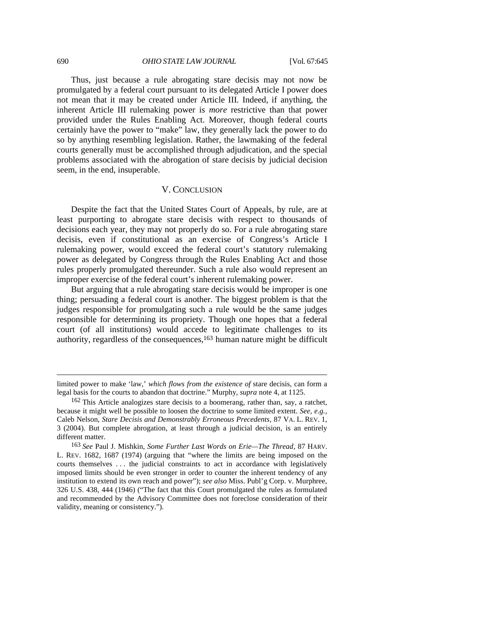Thus, just because a rule abrogating stare decisis may not now be promulgated by a federal court pursuant to its delegated Article I power does not mean that it may be created under Article III. Indeed, if anything, the inherent Article III rulemaking power is *more* restrictive than that power provided under the Rules Enabling Act. Moreover, though federal courts certainly have the power to "make" law, they generally lack the power to do so by anything resembling legislation. Rather, the lawmaking of the federal courts generally must be accomplished through adjudication, and the special problems associated with the abrogation of stare decisis by judicial decision seem, in the end, insuperable.

### V. CONCLUSION

Despite the fact that the United States Court of Appeals, by rule, are at least purporting to abrogate stare decisis with respect to thousands of decisions each year, they may not properly do so. For a rule abrogating stare decisis, even if constitutional as an exercise of Congress's Article I rulemaking power, would exceed the federal court's statutory rulemaking power as delegated by Congress through the Rules Enabling Act and those rules properly promulgated thereunder. Such a rule also would represent an improper exercise of the federal court's inherent rulemaking power.

But arguing that a rule abrogating stare decisis would be improper is one thing; persuading a federal court is another. The biggest problem is that the judges responsible for promulgating such a rule would be the same judges responsible for determining its propriety. Though one hopes that a federal court (of all institutions) would accede to legitimate challenges to its authority, regardless of the consequences,163 human nature might be difficult

limited power to make 'law,' *which flows from the existence of* stare decisis, can form a legal basis for the courts to abandon that doctrine." Murphy, *supra* note 4, at 1125.

<sup>162</sup> This Article analogizes stare decisis to a boomerang, rather than, say, a ratchet, because it might well be possible to loosen the doctrine to some limited extent. *See, e.g.*, Caleb Nelson, *Stare Decisis and Demonstrably Erroneous Precedents*, 87 VA. L. REV. 1, 3 (2004). But complete abrogation, at least through a judicial decision, is an entirely different matter.

<sup>163</sup> *See* Paul J. Mishkin, *Some Further Last Words on Erie—The Thread*, 87 HARV. L. REV. 1682, 1687 (1974) (arguing that "where the limits are being imposed on the courts themselves . . . the judicial constraints to act in accordance with legislatively imposed limits should be even stronger in order to counter the inherent tendency of any institution to extend its own reach and power"); *see also* Miss. Publ'g Corp. v. Murphree, 326 U.S. 438, 444 (1946) ("The fact that this Court promulgated the rules as formulated and recommended by the Advisory Committee does not foreclose consideration of their validity, meaning or consistency.").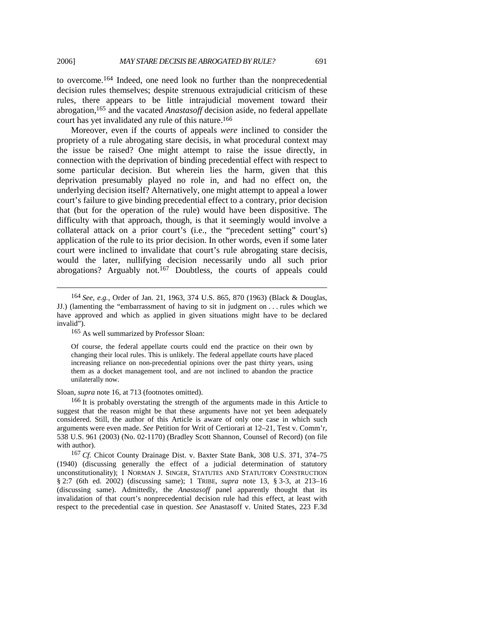to overcome.164 Indeed, one need look no further than the nonprecedential decision rules themselves; despite strenuous extrajudicial criticism of these rules, there appears to be little intrajudicial movement toward their abrogation,165 and the vacated *Anastasoff* decision aside, no federal appellate court has yet invalidated any rule of this nature.166

Moreover, even if the courts of appeals *were* inclined to consider the propriety of a rule abrogating stare decisis, in what procedural context may the issue be raised? One might attempt to raise the issue directly, in connection with the deprivation of binding precedential effect with respect to some particular decision. But wherein lies the harm, given that this deprivation presumably played no role in, and had no effect on, the underlying decision itself? Alternatively, one might attempt to appeal a lower court's failure to give binding precedential effect to a contrary, prior decision that (but for the operation of the rule) would have been dispositive. The difficulty with that approach, though, is that it seemingly would involve a collateral attack on a prior court's (i.e., the "precedent setting" court's) application of the rule to its prior decision. In other words, even if some later court were inclined to invalidate that court's rule abrogating stare decisis, would the later, nullifying decision necessarily undo all such prior abrogations? Arguably not.167 Doubtless, the courts of appeals could

165 As well summarized by Professor Sloan:

Of course, the federal appellate courts could end the practice on their own by changing their local rules. This is unlikely. The federal appellate courts have placed increasing reliance on non-precedential opinions over the past thirty years, using them as a docket management tool, and are not inclined to abandon the practice unilaterally now.

Sloan, *supra* note 16, at 713 (footnotes omitted).

166 It is probably overstating the strength of the arguments made in this Article to suggest that the reason might be that these arguments have not yet been adequately considered. Still, the author of this Article is aware of only one case in which such arguments were even made. *See* Petition for Writ of Certiorari at 12–21, Test v. Comm'r, 538 U.S. 961 (2003) (No. 02-1170) (Bradley Scott Shannon, Counsel of Record) (on file with author).

167 *Cf.* Chicot County Drainage Dist. v. Baxter State Bank, 308 U.S. 371, 374–75 (1940) (discussing generally the effect of a judicial determination of statutory unconstitutionality); 1 NORMAN J. SINGER, STATUTES AND STATUTORY CONSTRUCTION § 2:7 (6th ed. 2002) (discussing same); 1 TRIBE, *supra* note 13, § 3-3, at 213–16 (discussing same). Admittedly, the *Anastasoff* panel apparently thought that its invalidation of that court's nonprecedential decision rule had this effect, at least with respect to the precedential case in question. *See* Anastasoff v. United States, 223 F.3d

 <sup>164</sup> *See, e.g.*, Order of Jan. 21, 1963, 374 U.S. 865, 870 (1963) (Black & Douglas, JJ.) (lamenting the "embarrassment of having to sit in judgment on . . . rules which we have approved and which as applied in given situations might have to be declared invalid").